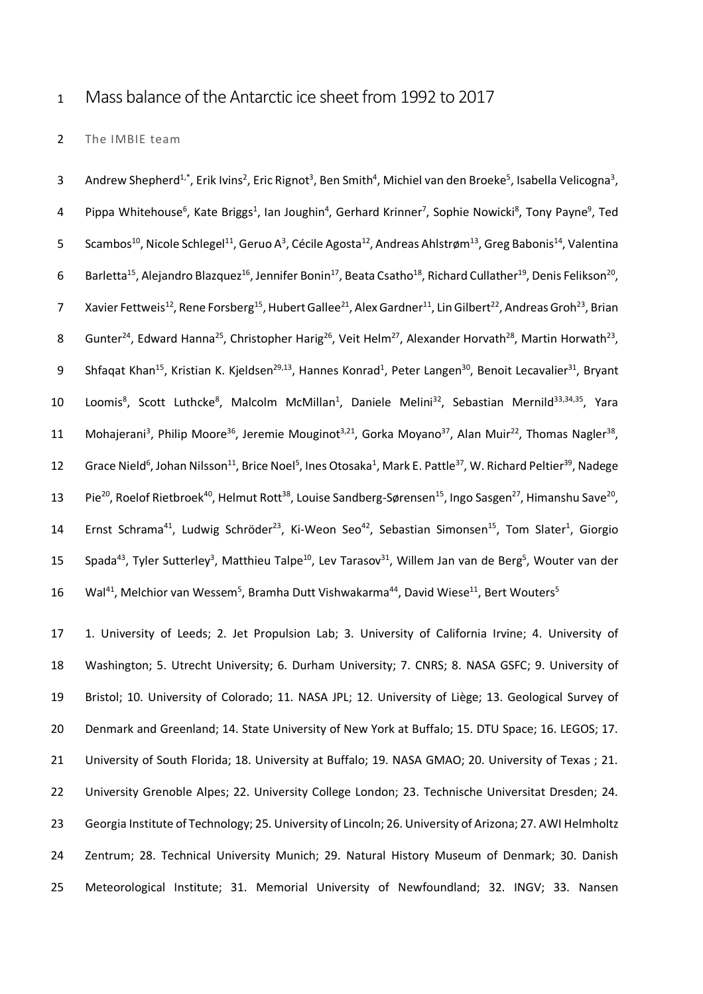# 1 Mass balance of the Antarctic ice sheet from 1992 to 2017

# 2 The IMBIE team

3 Andrew Shepherd<sup>1,\*</sup>, Erik Ivins<sup>2</sup>, Eric Rignot<sup>3</sup>, Ben Smith<sup>4</sup>, Michiel van den Broeke<sup>5</sup>, Isabella Velicogna<sup>3</sup>, 4 Pippa Whitehouse<sup>6</sup>, Kate Briggs<sup>1</sup>, Ian Joughin<sup>4</sup>, Gerhard Krinner<sup>7</sup>, Sophie Nowicki<sup>8</sup>, Tony Payne<sup>9</sup>, Ted 5 Scambos<sup>10</sup>, Nicole Schlegel<sup>11</sup>, Geruo A<sup>3</sup>, Cécile Agosta<sup>12</sup>, Andreas Ahlstrøm<sup>13</sup>, Greg Babonis<sup>14</sup>, Valentina 6 Barletta<sup>15</sup>, Alejandro Blazquez<sup>16</sup>, Jennifer Bonin<sup>17</sup>, Beata Csatho<sup>18</sup>, Richard Cullather<sup>19</sup>, Denis Felikson<sup>20</sup>, 7 Xavier Fettweis<sup>12</sup>, Rene Forsberg<sup>15</sup>, Hubert Gallee<sup>21</sup>, Alex Gardner<sup>11</sup>, Lin Gilbert<sup>22</sup>, Andreas Groh<sup>23</sup>, Brian 8 Gunter<sup>24</sup>, Edward Hanna<sup>25</sup>, Christopher Harig<sup>26</sup>, Veit Helm<sup>27</sup>, Alexander Horvath<sup>28</sup>, Martin Horwath<sup>23</sup>, 9 Shfaqat Khan<sup>15</sup>, Kristian K. Kjeldsen<sup>29,13</sup>, Hannes Konrad<sup>1</sup>, Peter Langen<sup>30</sup>, Benoit Lecavalier<sup>31</sup>, Bryant 10 Loomis<sup>8</sup>, Scott Luthcke<sup>8</sup>, Malcolm McMillan<sup>1</sup>, Daniele Melini<sup>32</sup>, Sebastian Mernild<sup>33,34,35</sup>, Yara 11 Mohajerani<sup>3</sup>, Philip Moore<sup>36</sup>, Jeremie Mouginot<sup>3,21</sup>, Gorka Moyano<sup>37</sup>, Alan Muir<sup>22</sup>, Thomas Nagler<sup>38</sup>, 12 Grace Nield<sup>6</sup>, Johan Nilsson<sup>11</sup>, Brice Noel<sup>5</sup>, Ines Otosaka<sup>1</sup>, Mark E. Pattle<sup>37</sup>, W. Richard Peltier<sup>39</sup>, Nadege 13 Pie<sup>20</sup>, Roelof Rietbroek<sup>40</sup>, Helmut Rott<sup>38</sup>, Louise Sandberg-Sørensen<sup>15</sup>, Ingo Sasgen<sup>27</sup>, Himanshu Save<sup>20</sup>, 14 Ernst Schrama<sup>41</sup>, Ludwig Schröder<sup>23</sup>, Ki-Weon Seo<sup>42</sup>, Sebastian Simonsen<sup>15</sup>, Tom Slater<sup>1</sup>, Giorgio 15 Spada<sup>43</sup>, Tyler Sutterley<sup>3</sup>, Matthieu Talpe<sup>10</sup>, Lev Tarasov<sup>31</sup>, Willem Jan van de Berg<sup>5</sup>, Wouter van der 16 Wal<sup>41</sup>, Melchior van Wessem<sup>5</sup>, Bramha Dutt Vishwakarma<sup>44</sup>, David Wiese<sup>11</sup>, Bert Wouters<sup>5</sup>

 1. University of Leeds; 2. Jet Propulsion Lab; 3. University of California Irvine; 4. University of Washington; 5. Utrecht University; 6. Durham University; 7. CNRS; 8. NASA GSFC; 9. University of Bristol; 10. University of Colorado; 11. NASA JPL; 12. University of Liège; 13. Geological Survey of Denmark and Greenland; 14. State University of New York at Buffalo; 15. DTU Space; 16. LEGOS; 17. University of South Florida; 18. University at Buffalo; 19. NASA GMAO; 20. University of Texas ; 21. University Grenoble Alpes; 22. University College London; 23. Technische Universitat Dresden; 24. Georgia Institute of Technology; 25. University of Lincoln; 26. University of Arizona; 27. AWI Helmholtz Zentrum; 28. Technical University Munich; 29. Natural History Museum of Denmark; 30. Danish Meteorological Institute; 31. Memorial University of Newfoundland; 32. INGV; 33. Nansen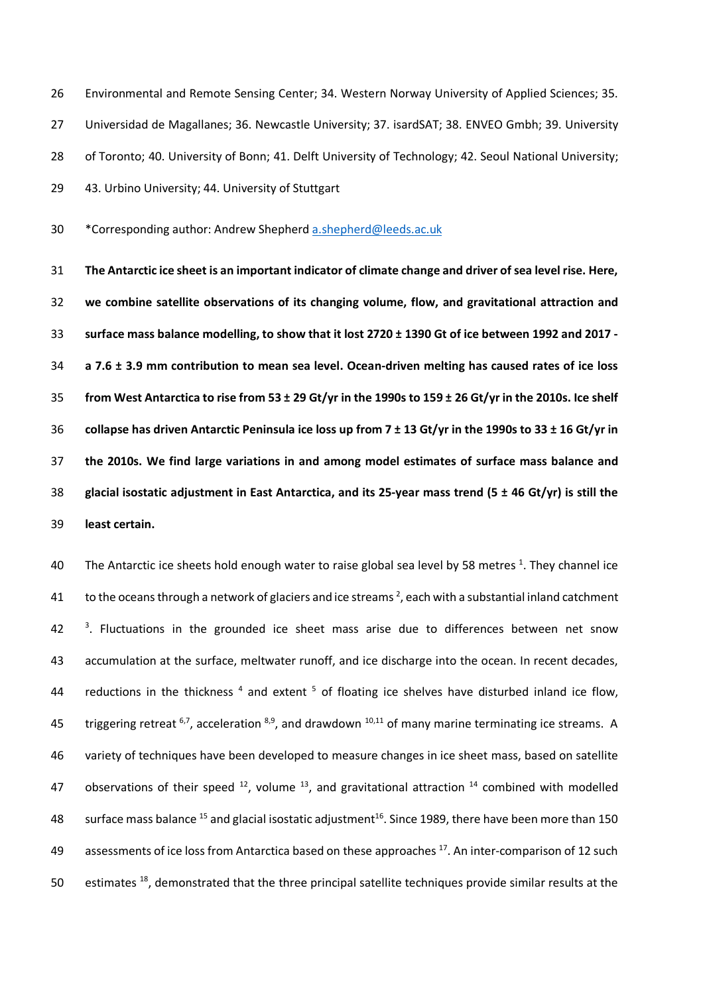Environmental and Remote Sensing Center; 34. Western Norway University of Applied Sciences; 35. Universidad de Magallanes; 36. Newcastle University; 37. isardSAT; 38. ENVEO Gmbh; 39. University 28 of Toronto; 40. University of Bonn; 41. Delft University of Technology; 42. Seoul National University; 43. Urbino University; 44. University of Stuttgart

\*Corresponding author: Andrew Shepherd a.shepherd@leeds.ac.uk

 **The Antarctic ice sheet is an important indicator of climate change and driver of sea level rise. Here, we combine satellite observations of its changing volume, flow, and gravitational attraction and surface mass balance modelling, to show that it lost 2720 ± 1390 Gt of ice between 1992 and 2017 - a 7.6 ± 3.9 mm contribution to mean sea level. Ocean-driven melting has caused rates of ice loss from West Antarctica to rise from 53 ± 29 Gt/yr in the 1990s to 159 ± 26 Gt/yr in the 2010s. Ice shelf collapse has driven Antarctic Peninsula ice loss up from 7 ± 13 Gt/yr in the 1990s to 33 ± 16 Gt/yr in the 2010s. We find large variations in and among model estimates of surface mass balance and glacial isostatic adjustment in East Antarctica, and its 25-year mass trend (5 ± 46 Gt/yr) is still the least certain.**

40 The Antarctic ice sheets hold enough water to raise global sea level by 58 metres <sup>1</sup>. They channel ice 41 to the oceans through a network of glaciers and ice streams  $^2$ , each with a substantial inland catchment <sup>3</sup>. Fluctuations in the grounded ice sheet mass arise due to differences between net snow accumulation at the surface, meltwater runoff, and ice discharge into the ocean. In recent decades, 44 reductions in the thickness and extent  $5$  of floating ice shelves have disturbed inland ice flow, 45 triggering retreat  $6,7$ , acceleration  $8,9$ , and drawdown  $10,11$  of many marine terminating ice streams. A variety of techniques have been developed to measure changes in ice sheet mass, based on satellite 47 observations of their speed  $^{12}$ , volume  $^{13}$ , and gravitational attraction  $^{14}$  combined with modelled 48 surface mass balance <sup>15</sup> and glacial isostatic adjustment<sup>16</sup>. Since 1989, there have been more than 150 49 assessments of ice loss from Antarctica based on these approaches <sup>17</sup>. An inter-comparison of 12 such 50 estimates  $^{18}$ , demonstrated that the three principal satellite techniques provide similar results at the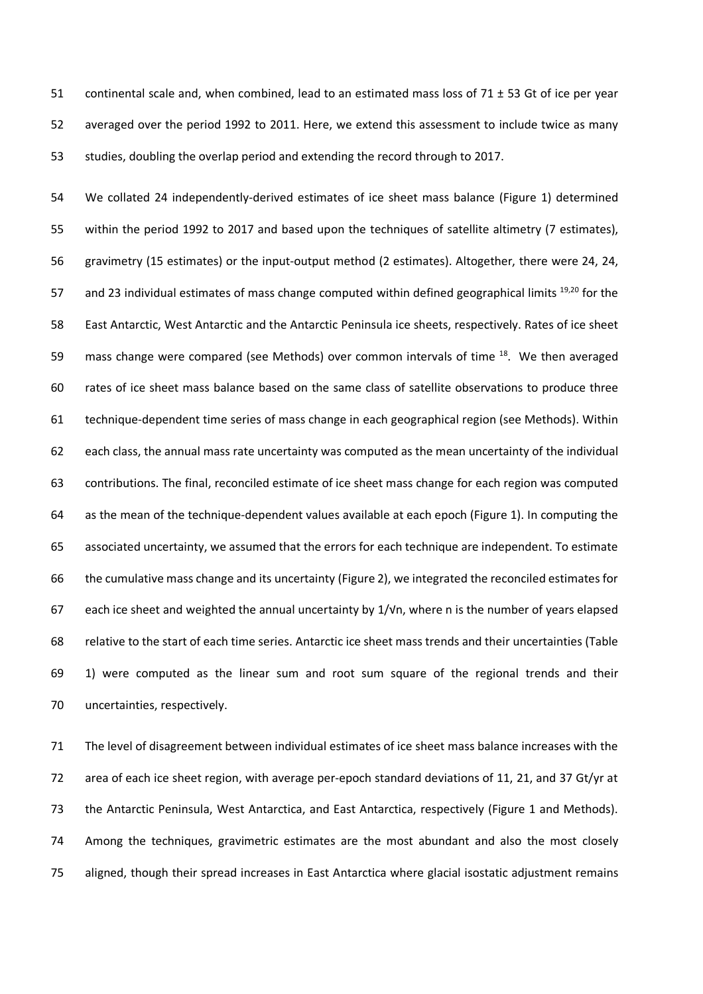continental scale and, when combined, lead to an estimated mass loss of 71 ± 53 Gt of ice per year averaged over the period 1992 to 2011. Here, we extend this assessment to include twice as many studies, doubling the overlap period and extending the record through to 2017.

 We collated 24 independently-derived estimates of ice sheet mass balance (Figure 1) determined within the period 1992 to 2017 and based upon the techniques of satellite altimetry (7 estimates), gravimetry (15 estimates) or the input-output method (2 estimates). Altogether, there were 24, 24, 57 and 23 individual estimates of mass change computed within defined geographical limits  $19,20$  for the East Antarctic, West Antarctic and the Antarctic Peninsula ice sheets, respectively. Rates of ice sheet 59 mass change were compared (see Methods) over common intervals of time  $^{18}$ . We then averaged rates of ice sheet mass balance based on the same class of satellite observations to produce three technique-dependent time series of mass change in each geographical region (see Methods). Within each class, the annual mass rate uncertainty was computed as the mean uncertainty of the individual contributions. The final, reconciled estimate of ice sheet mass change for each region was computed as the mean of the technique-dependent values available at each epoch (Figure 1). In computing the associated uncertainty, we assumed that the errors for each technique are independent. To estimate the cumulative mass change and its uncertainty (Figure 2), we integrated the reconciled estimates for each ice sheet and weighted the annual uncertainty by 1/√n, where n is the number of years elapsed relative to the start of each time series. Antarctic ice sheet mass trends and their uncertainties (Table 1) were computed as the linear sum and root sum square of the regional trends and their uncertainties, respectively.

 The level of disagreement between individual estimates of ice sheet mass balance increases with the area of each ice sheet region, with average per-epoch standard deviations of 11, 21, and 37 Gt/yr at the Antarctic Peninsula, West Antarctica, and East Antarctica, respectively (Figure 1 and Methods). Among the techniques, gravimetric estimates are the most abundant and also the most closely aligned, though their spread increases in East Antarctica where glacial isostatic adjustment remains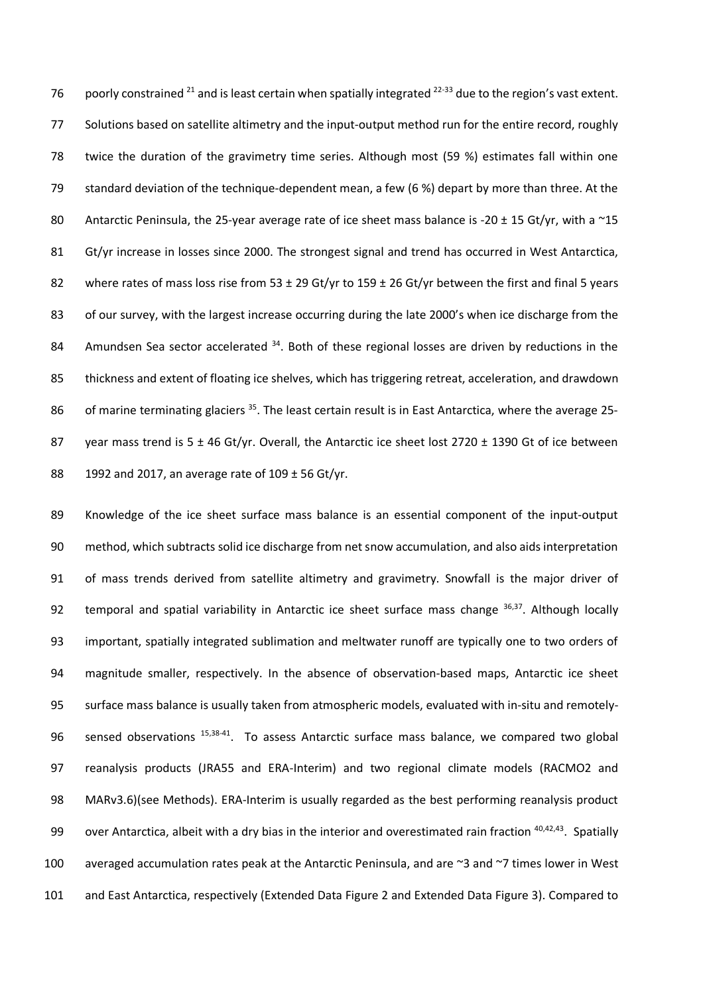76 poorly constrained  $^{21}$  and is least certain when spatially integrated  $^{22-33}$  due to the region's vast extent. Solutions based on satellite altimetry and the input-output method run for the entire record, roughly twice the duration of the gravimetry time series. Although most (59 %) estimates fall within one standard deviation of the technique-dependent mean, a few (6 %) depart by more than three. At the 80 Antarctic Peninsula, the 25-year average rate of ice sheet mass balance is -20  $\pm$  15 Gt/yr, with a  $\sim$ 15 81 Gt/yr increase in losses since 2000. The strongest signal and trend has occurred in West Antarctica, 82 where rates of mass loss rise from 53  $\pm$  29 Gt/yr to 159  $\pm$  26 Gt/yr between the first and final 5 years 83 of our survey, with the largest increase occurring during the late 2000's when ice discharge from the 84 Amundsen Sea sector accelerated . Both of these regional losses are driven by reductions in the thickness and extent of floating ice shelves, which has triggering retreat, acceleration, and drawdown 86 of marine terminating glaciers <sup>35</sup>. The least certain result is in East Antarctica, where the average 25-87 year mass trend is 5 ± 46 Gt/yr. Overall, the Antarctic ice sheet lost 2720 ± 1390 Gt of ice between 1992 and 2017, an average rate of 109 ± 56 Gt/yr.

 Knowledge of the ice sheet surface mass balance is an essential component of the input-output method, which subtracts solid ice discharge from net snow accumulation, and also aids interpretation of mass trends derived from satellite altimetry and gravimetry. Snowfall is the major driver of 92 temporal and spatial variability in Antarctic ice sheet surface mass change  $36,37$ . Although locally important, spatially integrated sublimation and meltwater runoff are typically one to two orders of magnitude smaller, respectively. In the absence of observation-based maps, Antarctic ice sheet surface mass balance is usually taken from atmospheric models, evaluated with in-situ and remotely-96 sensed observations  $15,38-41$ . To assess Antarctic surface mass balance, we compared two global reanalysis products (JRA55 and ERA-Interim) and two regional climate models (RACMO2 and MARv3.6)(see Methods). ERA-Interim is usually regarded as the best performing reanalysis product 99 over Antarctica, albeit with a dry bias in the interior and overestimated rain fraction  $40,42,43$ . Spatially averaged accumulation rates peak at the Antarctic Peninsula, and are ~3 and ~7 times lower in West and East Antarctica, respectively (Extended Data Figure 2 and Extended Data Figure 3). Compared to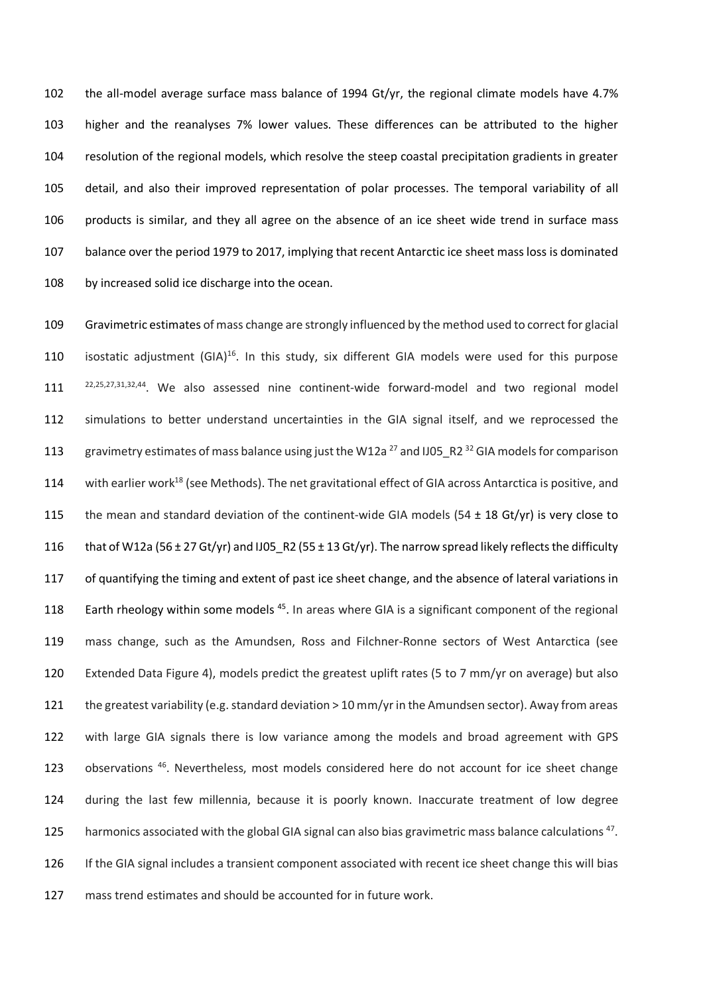the all-model average surface mass balance of 1994 Gt/yr, the regional climate models have 4.7% higher and the reanalyses 7% lower values. These differences can be attributed to the higher resolution of the regional models, which resolve the steep coastal precipitation gradients in greater detail, and also their improved representation of polar processes. The temporal variability of all products is similar, and they all agree on the absence of an ice sheet wide trend in surface mass balance over the period 1979 to 2017, implying that recent Antarctic ice sheet mass loss is dominated by increased solid ice discharge into the ocean.

 Gravimetric estimates of mass change are strongly influenced by the method used to correct for glacial 110 isostatic adjustment  $(GIA)^{16}$ . In this study, six different GIA models were used for this purpose 111 <sup>22,25,27,31,32,44</sup>. We also assessed nine continent-wide forward-model and two regional model simulations to better understand uncertainties in the GIA signal itself, and we reprocessed the 113 gravimetry estimates of mass balance using just the W12a<sup>27</sup> and IJ05\_R2<sup>32</sup> GIA models for comparison 114 with earlier work<sup>18</sup> (see Methods). The net gravitational effect of GIA across Antarctica is positive, and 115 the mean and standard deviation of the continent-wide GIA models (54  $\pm$  18 Gt/yr) is very close to 116 that of W12a (56  $\pm$  27 Gt/yr) and IJ05\_R2 (55  $\pm$  13 Gt/yr). The narrow spread likely reflects the difficulty of quantifying the timing and extent of past ice sheet change, and the absence of lateral variations in 118 Earth rheology within some models<sup>45</sup>. In areas where GIA is a significant component of the regional mass change, such as the Amundsen, Ross and Filchner-Ronne sectors of West Antarctica (see Extended Data Figure 4), models predict the greatest uplift rates (5 to 7 mm/yr on average) but also the greatest variability (e.g. standard deviation > 10 mm/yr in the Amundsen sector). Away from areas with large GIA signals there is low variance among the models and broad agreement with GPS 123 observations<sup>46</sup>. Nevertheless, most models considered here do not account for ice sheet change during the last few millennia, because it is poorly known. Inaccurate treatment of low degree 125 harmonics associated with the global GIA signal can also bias gravimetric mass balance calculations<sup>47</sup>. If the GIA signal includes a transient component associated with recent ice sheet change this will bias mass trend estimates and should be accounted for in future work.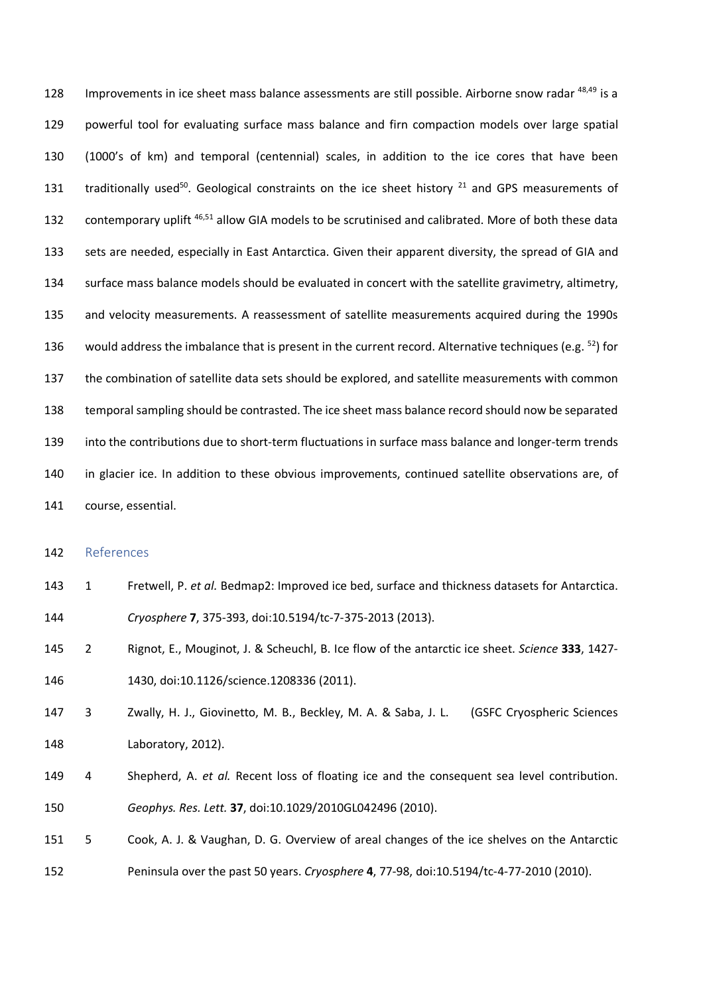128 Improvements in ice sheet mass balance assessments are still possible. Airborne snow radar <sup>48,49</sup> is a powerful tool for evaluating surface mass balance and firn compaction models over large spatial (1000's of km) and temporal (centennial) scales, in addition to the ice cores that have been 131 traditionally used<sup>50</sup>. Geological constraints on the ice sheet history  $21$  and GPS measurements of 132 contemporary uplift <sup>46,51</sup> allow GIA models to be scrutinised and calibrated. More of both these data sets are needed, especially in East Antarctica. Given their apparent diversity, the spread of GIA and surface mass balance models should be evaluated in concert with the satellite gravimetry, altimetry, and velocity measurements. A reassessment of satellite measurements acquired during the 1990s 136 would address the imbalance that is present in the current record. Alternative techniques (e.g. ) for the combination of satellite data sets should be explored, and satellite measurements with common temporal sampling should be contrasted. The ice sheet mass balance record should now be separated into the contributions due to short-term fluctuations in surface mass balance and longer-term trends in glacier ice. In addition to these obvious improvements, continued satellite observations are, of course, essential.

#### References

- 1 Fretwell, P. *et al.* Bedmap2: Improved ice bed, surface and thickness datasets for Antarctica. *Cryosphere* **7**, 375-393, doi:10.5194/tc-7-375-2013 (2013).
- 2 Rignot, E., Mouginot, J. & Scheuchl, B. Ice flow of the antarctic ice sheet. *Science* **333**, 1427- 1430, doi:10.1126/science.1208336 (2011).
- 3 Zwally, H. J., Giovinetto, M. B., Beckley, M. A. & Saba, J. L. (GSFC Cryospheric Sciences Laboratory, 2012).
- 4 Shepherd, A. *et al.* Recent loss of floating ice and the consequent sea level contribution. *Geophys. Res. Lett.* **37**, doi:10.1029/2010GL042496 (2010).
- 5 Cook, A. J. & Vaughan, D. G. Overview of areal changes of the ice shelves on the Antarctic Peninsula over the past 50 years. *Cryosphere* **4**, 77-98, doi:10.5194/tc-4-77-2010 (2010).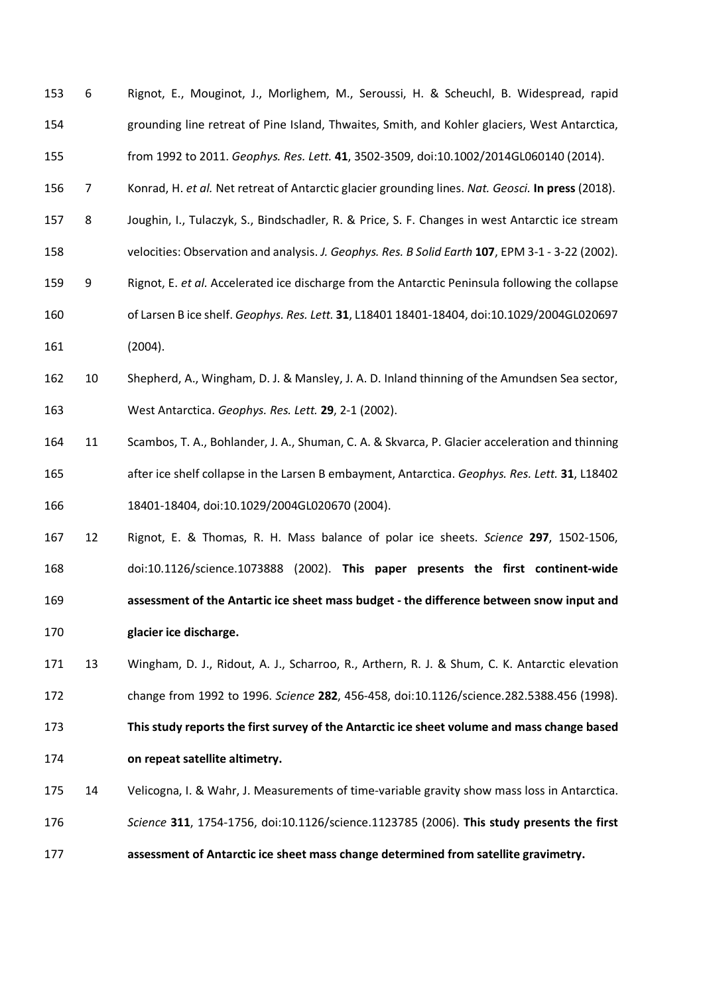| 153 | 6              | Rignot, E., Mouginot, J., Morlighem, M., Seroussi, H. & Scheuchl, B. Widespread, rapid            |
|-----|----------------|---------------------------------------------------------------------------------------------------|
| 154 |                | grounding line retreat of Pine Island, Thwaites, Smith, and Kohler glaciers, West Antarctica,     |
| 155 |                | from 1992 to 2011. Geophys. Res. Lett. 41, 3502-3509, doi:10.1002/2014GL060140 (2014).            |
| 156 | $\overline{7}$ | Konrad, H. et al. Net retreat of Antarctic glacier grounding lines. Nat. Geosci. In press (2018). |
| 157 | 8              | Joughin, I., Tulaczyk, S., Bindschadler, R. & Price, S. F. Changes in west Antarctic ice stream   |
| 158 |                | velocities: Observation and analysis. J. Geophys. Res. B Solid Earth 107, EPM 3-1 - 3-22 (2002).  |
| 159 | 9              | Rignot, E. et al. Accelerated ice discharge from the Antarctic Peninsula following the collapse   |
| 160 |                | of Larsen B ice shelf. Geophys. Res. Lett. 31, L18401 18401-18404, doi:10.1029/2004GL020697       |
| 161 |                | (2004).                                                                                           |
| 162 | 10             | Shepherd, A., Wingham, D. J. & Mansley, J. A. D. Inland thinning of the Amundsen Sea sector,      |
| 163 |                | West Antarctica. Geophys. Res. Lett. 29, 2-1 (2002).                                              |
| 164 | 11             | Scambos, T. A., Bohlander, J. A., Shuman, C. A. & Skvarca, P. Glacier acceleration and thinning   |
| 165 |                | after ice shelf collapse in the Larsen B embayment, Antarctica. Geophys. Res. Lett. 31, L18402    |
| 166 |                | 18401-18404, doi:10.1029/2004GL020670 (2004).                                                     |
| 167 | 12             | Rignot, E. & Thomas, R. H. Mass balance of polar ice sheets. Science 297, 1502-1506,              |
| 168 |                | doi:10.1126/science.1073888 (2002). This paper presents the first continent-wide                  |
| 169 |                | assessment of the Antartic ice sheet mass budget - the difference between snow input and          |
| 170 |                | glacier ice discharge.                                                                            |
| 171 | 13             | Wingham, D. J., Ridout, A. J., Scharroo, R., Arthern, R. J. & Shum, C. K. Antarctic elevation     |

change from 1992 to 1996. *Science* **282**, 456-458, doi:10.1126/science.282.5388.456 (1998).

 **This study reports the first survey of the Antarctic ice sheet volume and mass change based on repeat satellite altimetry.**

14 Velicogna, I. & Wahr, J. Measurements of time-variable gravity show mass loss in Antarctica.

*Science* **311**, 1754-1756, doi:10.1126/science.1123785 (2006). **This study presents the first** 

**assessment of Antarctic ice sheet mass change determined from satellite gravimetry.**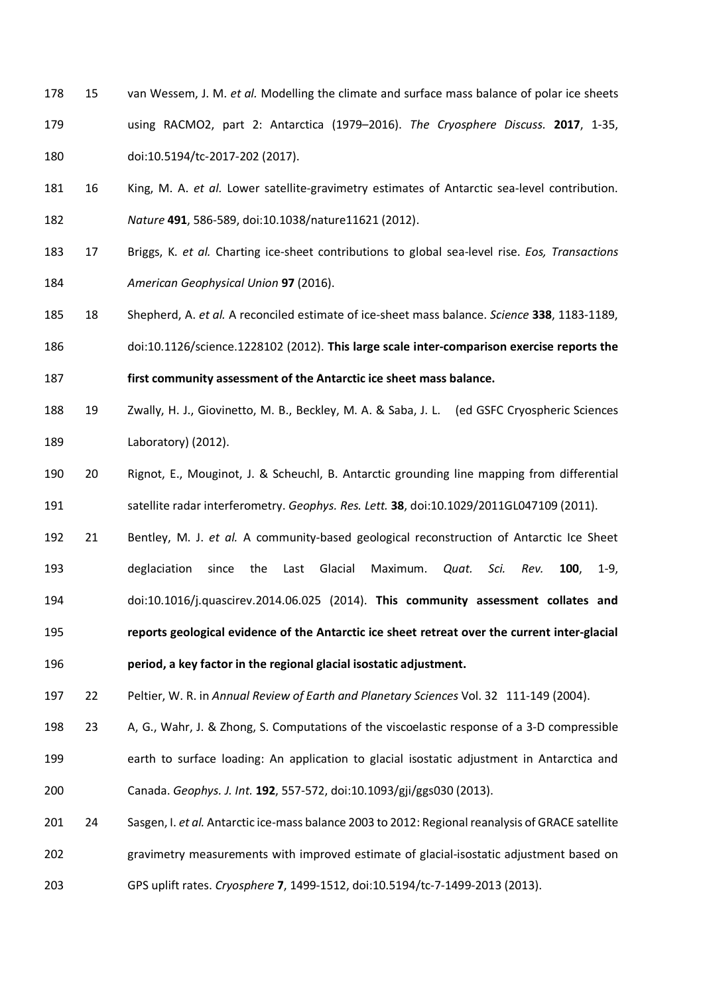- 15 van Wessem, J. M. *et al.* Modelling the climate and surface mass balance of polar ice sheets using RACMO2, part 2: Antarctica (1979–2016). *The Cryosphere Discuss.* **2017**, 1-35, doi:10.5194/tc-2017-202 (2017).
- 16 King, M. A. *et al.* Lower satellite-gravimetry estimates of Antarctic sea-level contribution. *Nature* **491**, 586-589, doi:10.1038/nature11621 (2012).
- 17 Briggs, K. *et al.* Charting ice-sheet contributions to global sea-level rise. *Eos, Transactions American Geophysical Union* **97** (2016).
- 18 Shepherd, A. *et al.* A reconciled estimate of ice-sheet mass balance. *Science* **338**, 1183-1189, doi:10.1126/science.1228102 (2012). **This large scale inter-comparison exercise reports the**

**first community assessment of the Antarctic ice sheet mass balance.**

- 19 Zwally, H. J., Giovinetto, M. B., Beckley, M. A. & Saba, J. L. (ed GSFC Cryospheric Sciences Laboratory) (2012).
- 20 Rignot, E., Mouginot, J. & Scheuchl, B. Antarctic grounding line mapping from differential satellite radar interferometry. *Geophys. Res. Lett.* **38**, doi:10.1029/2011GL047109 (2011).
- 21 Bentley, M. J. *et al.* A community-based geological reconstruction of Antarctic Ice Sheet deglaciation since the Last Glacial Maximum. *Quat. Sci. Rev.* **100**, 1-9, doi:10.1016/j.quascirev.2014.06.025 (2014). **This community assessment collates and reports geological evidence of the Antarctic ice sheet retreat over the current inter-glacial period, a key factor in the regional glacial isostatic adjustment.**

22 Peltier, W. R. in *Annual Review of Earth and Planetary Sciences* Vol. 32 111-149 (2004).

 23 A, G., Wahr, J. & Zhong, S. Computations of the viscoelastic response of a 3-D compressible earth to surface loading: An application to glacial isostatic adjustment in Antarctica and Canada. *Geophys. J. Int.* **192**, 557-572, doi:10.1093/gji/ggs030 (2013).

 24 Sasgen, I. *et al.* Antarctic ice-mass balance 2003 to 2012: Regional reanalysis of GRACE satellite gravimetry measurements with improved estimate of glacial-isostatic adjustment based on GPS uplift rates. *Cryosphere* **7**, 1499-1512, doi:10.5194/tc-7-1499-2013 (2013).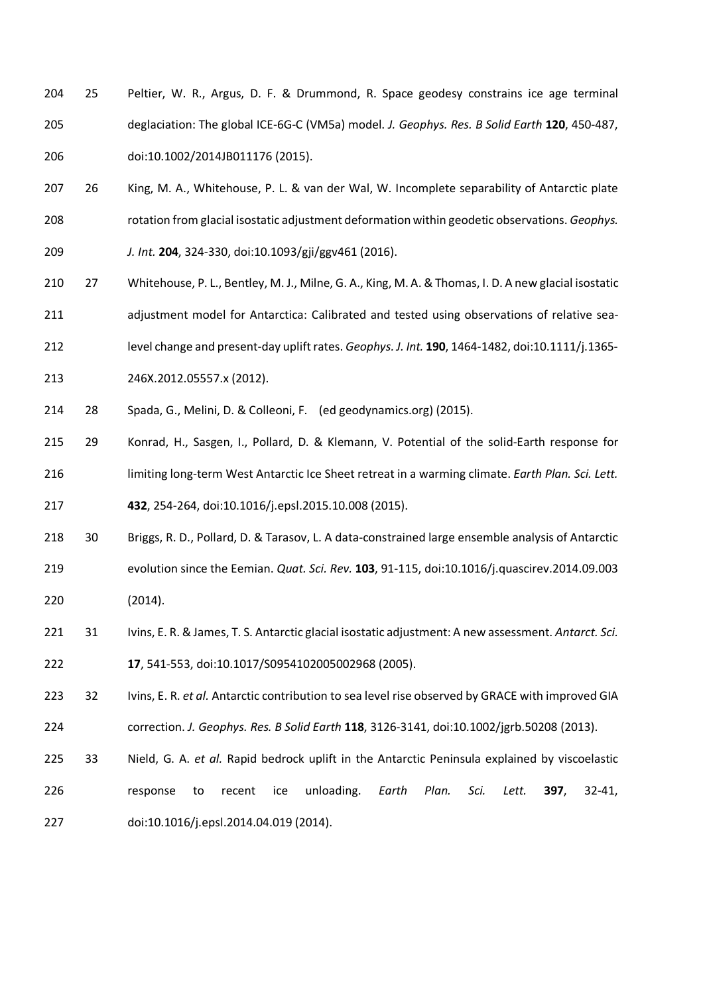- 25 Peltier, W. R., Argus, D. F. & Drummond, R. Space geodesy constrains ice age terminal deglaciation: The global ICE-6G-C (VM5a) model. *J. Geophys. Res. B Solid Earth* **120**, 450-487, doi:10.1002/2014JB011176 (2015).
- 26 King, M. A., Whitehouse, P. L. & van der Wal, W. Incomplete separability of Antarctic plate rotation from glacial isostatic adjustment deformation within geodetic observations. *Geophys. J. Int.* **204**, 324-330, doi:10.1093/gji/ggv461 (2016).
- 27 Whitehouse, P. L., Bentley, M. J., Milne, G. A., King, M. A. & Thomas, I. D. A new glacial isostatic adjustment model for Antarctica: Calibrated and tested using observations of relative sea-level change and present-day uplift rates. *Geophys. J. Int.* **190**, 1464-1482, doi:10.1111/j.1365-
- 246X.2012.05557.x (2012).
- 28 Spada, G., Melini, D. & Colleoni, F. (ed geodynamics.org) (2015).
- 29 Konrad, H., Sasgen, I., Pollard, D. & Klemann, V. Potential of the solid-Earth response for limiting long-term West Antarctic Ice Sheet retreat in a warming climate. *Earth Plan. Sci. Lett.* **432**, 254-264, doi:10.1016/j.epsl.2015.10.008 (2015).
- 30 Briggs, R. D., Pollard, D. & Tarasov, L. A data-constrained large ensemble analysis of Antarctic evolution since the Eemian. *Quat. Sci. Rev.* **103**, 91-115, doi:10.1016/j.quascirev.2014.09.003 (2014).
- 31 Ivins, E. R. & James, T. S. Antarctic glacial isostatic adjustment: A new assessment. *Antarct. Sci.* **17**, 541-553, doi:10.1017/S0954102005002968 (2005).
- 32 Ivins, E. R. *et al.* Antarctic contribution to sea level rise observed by GRACE with improved GIA correction. *J. Geophys. Res. B Solid Earth* **118**, 3126-3141, doi:10.1002/jgrb.50208 (2013).
- 33 Nield, G. A. *et al.* Rapid bedrock uplift in the Antarctic Peninsula explained by viscoelastic response to recent ice unloading. *Earth Plan. Sci. Lett.* **397**, 32-41, doi:10.1016/j.epsl.2014.04.019 (2014).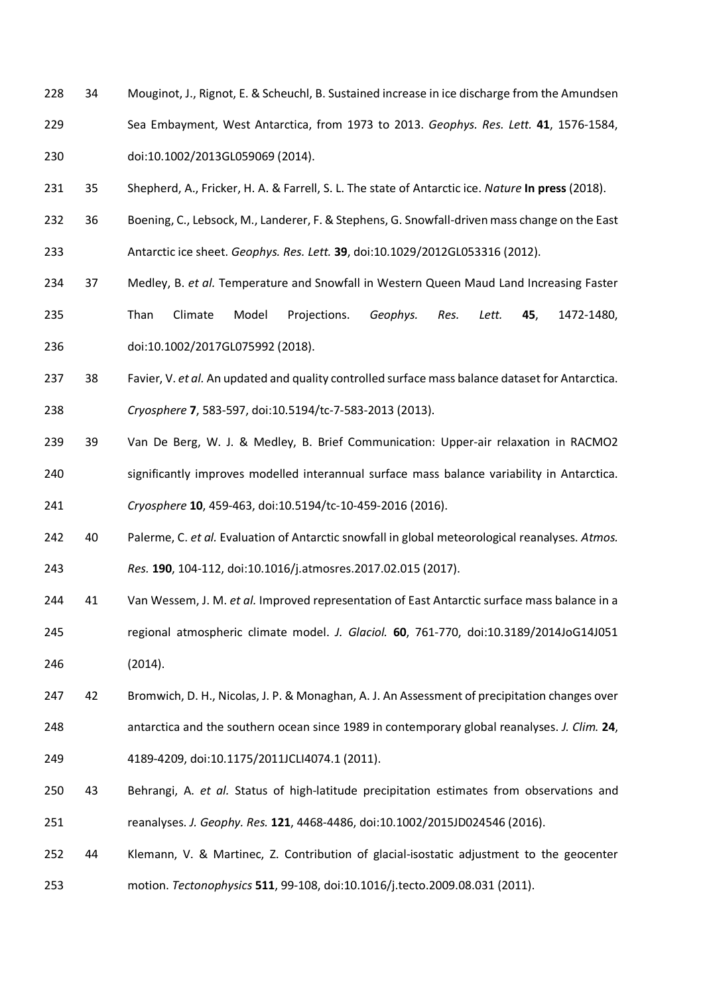- 34 Mouginot, J., Rignot, E. & Scheuchl, B. Sustained increase in ice discharge from the Amundsen Sea Embayment, West Antarctica, from 1973 to 2013. *Geophys. Res. Lett.* **41**, 1576-1584, doi:10.1002/2013GL059069 (2014).
- 35 Shepherd, A., Fricker, H. A. & Farrell, S. L. The state of Antarctic ice. *Nature* **In press** (2018).
- 36 Boening, C., Lebsock, M., Landerer, F. & Stephens, G. Snowfall-driven mass change on the East Antarctic ice sheet. *Geophys. Res. Lett.* **39**, doi:10.1029/2012GL053316 (2012).
- 37 Medley, B. *et al.* Temperature and Snowfall in Western Queen Maud Land Increasing Faster Than Climate Model Projections. *Geophys. Res. Lett.* **45**, 1472-1480, doi:10.1002/2017GL075992 (2018).
- 38 Favier, V. *et al.* An updated and quality controlled surface mass balance dataset for Antarctica. *Cryosphere* **7**, 583-597, doi:10.5194/tc-7-583-2013 (2013).
- 39 Van De Berg, W. J. & Medley, B. Brief Communication: Upper-air relaxation in RACMO2 significantly improves modelled interannual surface mass balance variability in Antarctica. *Cryosphere* **10**, 459-463, doi:10.5194/tc-10-459-2016 (2016).
- 40 Palerme, C. *et al.* Evaluation of Antarctic snowfall in global meteorological reanalyses. *Atmos. Res.* **190**, 104-112, doi:10.1016/j.atmosres.2017.02.015 (2017).
- 41 Van Wessem, J. M. *et al.* Improved representation of East Antarctic surface mass balance in a regional atmospheric climate model. *J. Glaciol.* **60**, 761-770, doi:10.3189/2014JoG14J051 (2014).
- 42 Bromwich, D. H., Nicolas, J. P. & Monaghan, A. J. An Assessment of precipitation changes over antarctica and the southern ocean since 1989 in contemporary global reanalyses. *J. Clim.* **24**, 4189-4209, doi:10.1175/2011JCLI4074.1 (2011).
- 43 Behrangi, A. *et al.* Status of high-latitude precipitation estimates from observations and reanalyses. *J. Geophy. Res.* **121**, 4468-4486, doi:10.1002/2015JD024546 (2016).
- 44 Klemann, V. & Martinec, Z. Contribution of glacial-isostatic adjustment to the geocenter motion. *Tectonophysics* **511**, 99-108, doi:10.1016/j.tecto.2009.08.031 (2011).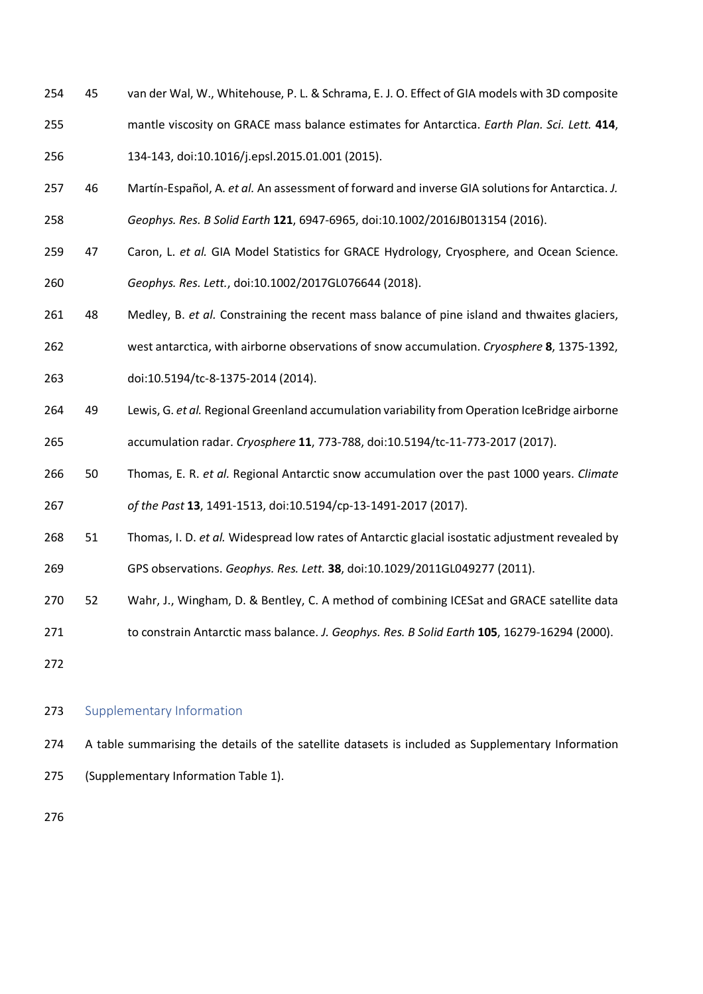45 van der Wal, W., Whitehouse, P. L. & Schrama, E. J. O. Effect of GIA models with 3D composite mantle viscosity on GRACE mass balance estimates for Antarctica. *Earth Plan. Sci. Lett.* **414**,

134-143, doi:10.1016/j.epsl.2015.01.001 (2015).

- 46 Martín-Español, A. *et al.* An assessment of forward and inverse GIA solutions for Antarctica. *J. Geophys. Res. B Solid Earth* **121**, 6947-6965, doi:10.1002/2016JB013154 (2016).
- 47 Caron, L. *et al.* GIA Model Statistics for GRACE Hydrology, Cryosphere, and Ocean Science. *Geophys. Res. Lett.*, doi:10.1002/2017GL076644 (2018).
- 48 Medley, B. *et al.* Constraining the recent mass balance of pine island and thwaites glaciers,
- west antarctica, with airborne observations of snow accumulation. *Cryosphere* **8**, 1375-1392,
- doi:10.5194/tc-8-1375-2014 (2014).
- 49 Lewis, G. *et al.* Regional Greenland accumulation variability from Operation IceBridge airborne accumulation radar. *Cryosphere* **11**, 773-788, doi:10.5194/tc-11-773-2017 (2017).
- 50 Thomas, E. R. *et al.* Regional Antarctic snow accumulation over the past 1000 years. *Climate of the Past* **13**, 1491-1513, doi:10.5194/cp-13-1491-2017 (2017).
- 51 Thomas, I. D. *et al.* Widespread low rates of Antarctic glacial isostatic adjustment revealed by GPS observations. *Geophys. Res. Lett.* **38**, doi:10.1029/2011GL049277 (2011).
- 52 Wahr, J., Wingham, D. & Bentley, C. A method of combining ICESat and GRACE satellite data
- to constrain Antarctic mass balance. *J. Geophys. Res. B Solid Earth* **105**, 16279-16294 (2000).

# 273 Supplementary Information

 A table summarising the details of the satellite datasets is included as Supplementary Information (Supplementary Information Table 1).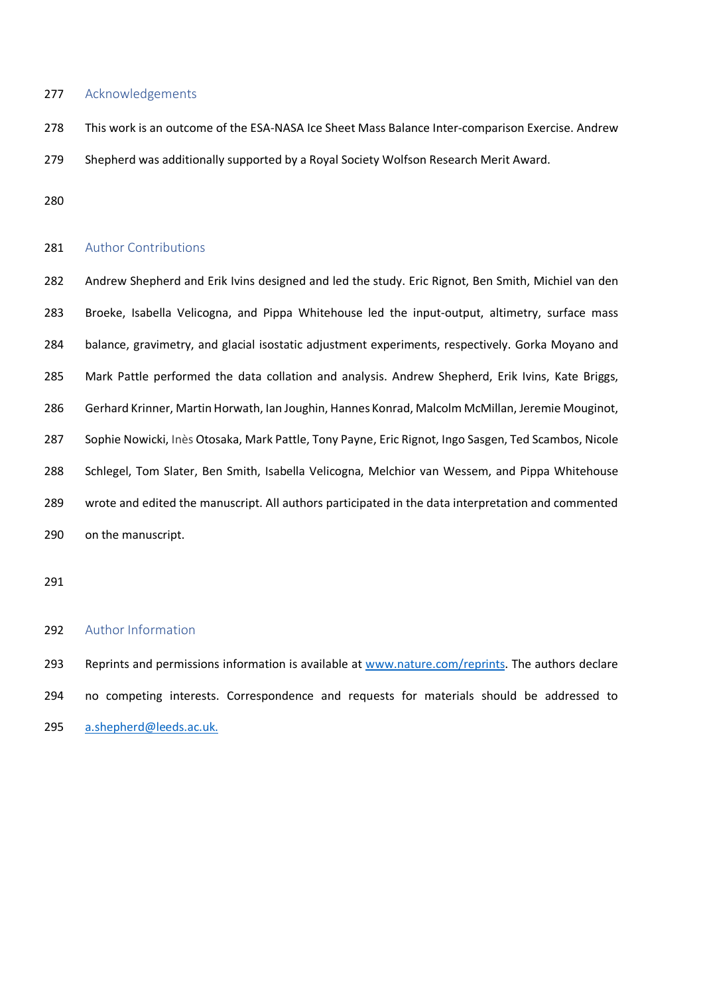### 277 Acknowledgements

This work is an outcome of the ESA-NASA Ice Sheet Mass Balance Inter-comparison Exercise. Andrew

Shepherd was additionally supported by a Royal Society Wolfson Research Merit Award.

#### 281 Author Contributions

 Andrew Shepherd and Erik Ivins designed and led the study. Eric Rignot, Ben Smith, Michiel van den Broeke, Isabella Velicogna, and Pippa Whitehouse led the input-output, altimetry, surface mass balance, gravimetry, and glacial isostatic adjustment experiments, respectively. Gorka Moyano and Mark Pattle performed the data collation and analysis. Andrew Shepherd, Erik Ivins, Kate Briggs, Gerhard Krinner, Martin Horwath, Ian Joughin, Hannes Konrad, Malcolm McMillan, Jeremie Mouginot, Sophie Nowicki, Inès Otosaka, Mark Pattle, Tony Payne, Eric Rignot, Ingo Sasgen, Ted Scambos, Nicole Schlegel, Tom Slater, Ben Smith, Isabella Velicogna, Melchior van Wessem, and Pippa Whitehouse wrote and edited the manuscript. All authors participated in the data interpretation and commented on the manuscript.

### Author Information

293 Reprints and permissions information is available at www.nature.com/reprints. The authors declare no competing interests. Correspondence and requests for materials should be addressed to a.shepherd@leeds.ac.uk.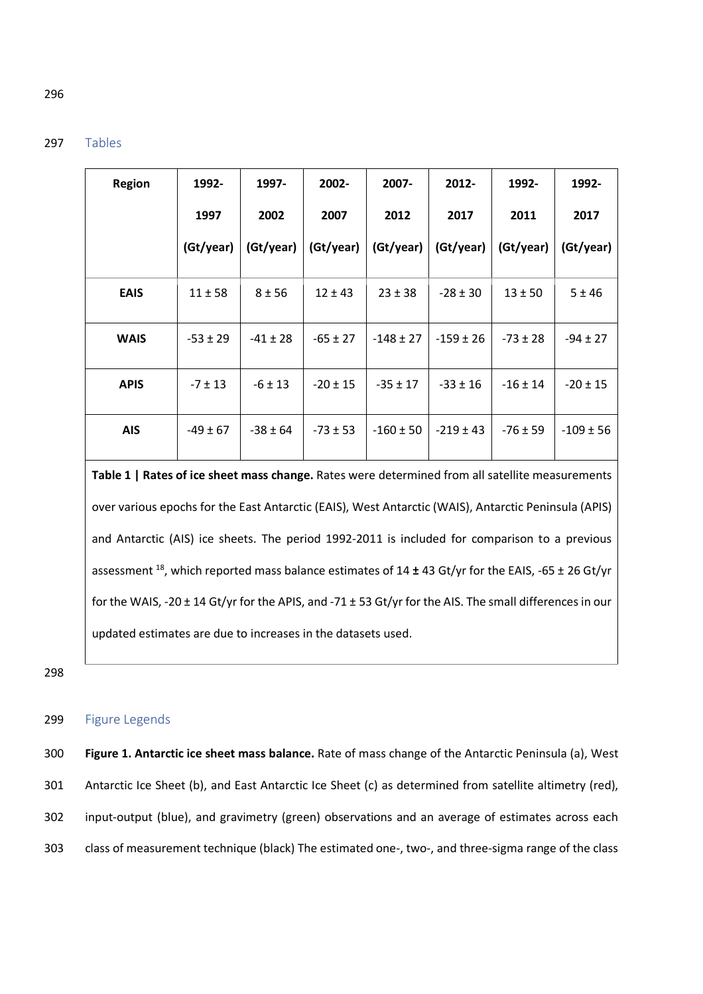## 297 Tables

| <b>Region</b> | 1992-        | 1997-        | 2002-        | 2007-         | $2012 -$      | 1992-        | 1992-         |
|---------------|--------------|--------------|--------------|---------------|---------------|--------------|---------------|
|               | 1997         | 2002         | 2007         | 2012          | 2017          | 2011         | 2017          |
|               | (Gt/year)    | (Gt/year)    | (Gt/year)    | (Gt/year)     | (Gt/year)     | (Gt/year)    | (Gt/year)     |
| <b>EAIS</b>   | $11 \pm 58$  | $8 + 56$     | $12 \pm 43$  | $23 \pm 38$   | $-28 \pm 30$  | $13 \pm 50$  | 5 ± 46        |
| <b>WAIS</b>   | $-53 \pm 29$ | $-41 \pm 28$ | $-65 \pm 27$ | $-148 \pm 27$ | $-159 \pm 26$ | $-73 \pm 28$ | $-94 \pm 27$  |
| <b>APIS</b>   | $-7 \pm 13$  | $-6 \pm 13$  | $-20 \pm 15$ | $-35 \pm 17$  | $-33 \pm 16$  | $-16 \pm 14$ | $-20 \pm 15$  |
| <b>AIS</b>    | $-49 \pm 67$ | $-38 \pm 64$ | $-73 \pm 53$ | $-160 \pm 50$ | $-219 \pm 43$ | $-76 \pm 59$ | $-109 \pm 56$ |

**Table 1 | Rates of ice sheet mass change.** Rates were determined from all satellite measurements over various epochs for the East Antarctic (EAIS), West Antarctic (WAIS), Antarctic Peninsula (APIS) and Antarctic (AIS) ice sheets. The period 1992-2011 is included for comparison to a previous assessment 18, which reported mass balance estimates of 14 **±** 43 Gt/yr for the EAIS, -65 ± 26 Gt/yr for the WAIS, -20 ± 14 Gt/yr for the APIS, and -71 ± 53 Gt/yr for the AIS. The small differences in our updated estimates are due to increases in the datasets used.

298

## 299 Figure Legends

 **Figure 1. Antarctic ice sheet mass balance.** Rate of mass change of the Antarctic Peninsula (a), West Antarctic Ice Sheet (b), and East Antarctic Ice Sheet (c) as determined from satellite altimetry (red), input-output (blue), and gravimetry (green) observations and an average of estimates across each class of measurement technique (black) The estimated one-, two-, and three-sigma range of the class

### 296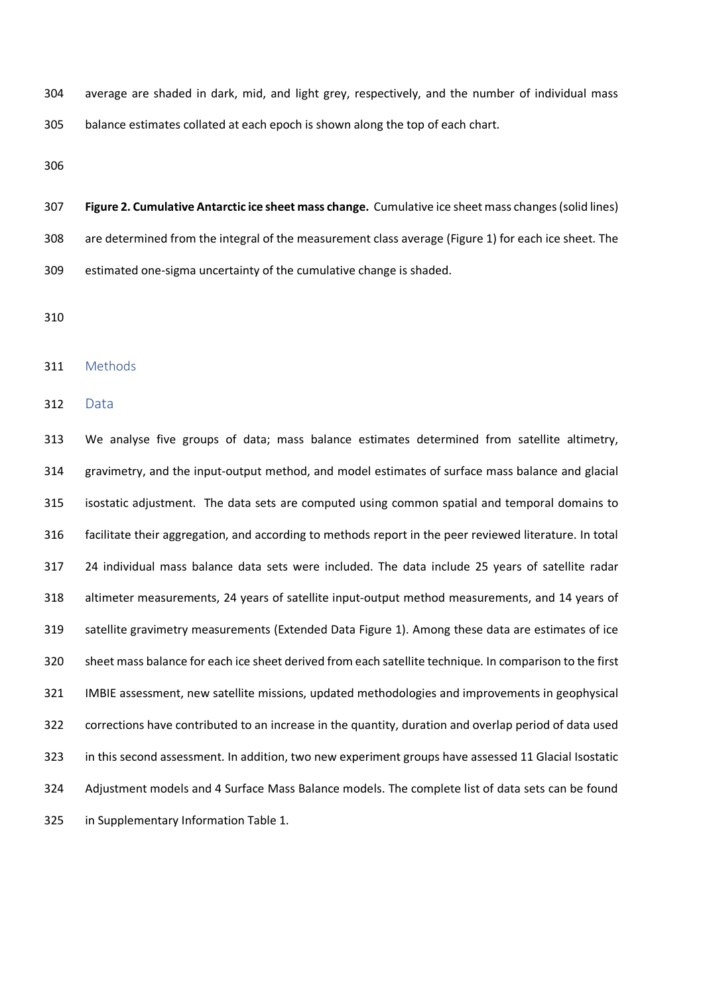average are shaded in dark, mid, and light grey, respectively, and the number of individual mass balance estimates collated at each epoch is shown along the top of each chart.

 **Figure 2. Cumulative Antarctic ice sheet mass change.** Cumulative ice sheet mass changes (solid lines) are determined from the integral of the measurement class average (Figure 1) for each ice sheet. The estimated one-sigma uncertainty of the cumulative change is shaded.

#### Methods

Data

 We analyse five groups of data; mass balance estimates determined from satellite altimetry, gravimetry, and the input-output method, and model estimates of surface mass balance and glacial isostatic adjustment. The data sets are computed using common spatial and temporal domains to facilitate their aggregation, and according to methods report in the peer reviewed literature. In total 24 individual mass balance data sets were included. The data include 25 years of satellite radar altimeter measurements, 24 years of satellite input-output method measurements, and 14 years of satellite gravimetry measurements (Extended Data Figure 1). Among these data are estimates of ice sheet mass balance for each ice sheet derived from each satellite technique. In comparison to the first IMBIE assessment, new satellite missions, updated methodologies and improvements in geophysical corrections have contributed to an increase in the quantity, duration and overlap period of data used in this second assessment. In addition, two new experiment groups have assessed 11 Glacial Isostatic Adjustment models and 4 Surface Mass Balance models. The complete list of data sets can be found in Supplementary Information Table 1.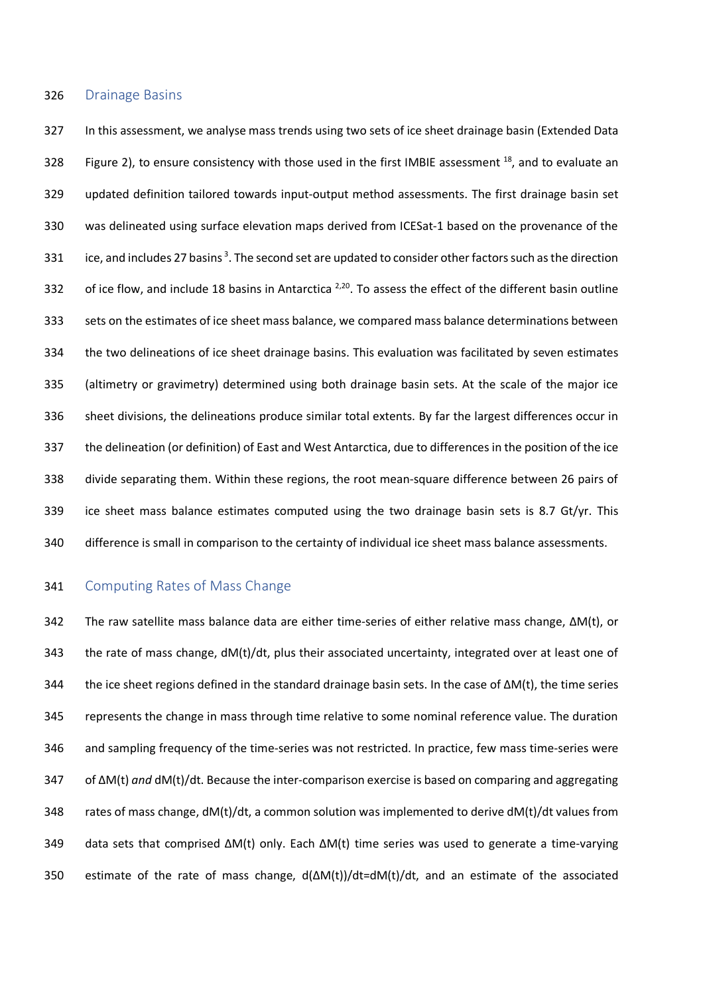#### Drainage Basins

 In this assessment, we analyse mass trends using two sets of ice sheet drainage basin (Extended Data 328 Figure 2), to ensure consistency with those used in the first IMBIE assessment  $^{18}$ , and to evaluate an updated definition tailored towards input-output method assessments. The first drainage basin set was delineated using surface elevation maps derived from ICESat-1 based on the provenance of the 331 ice, and includes 27 basins . The second set are updated to consider other factors such as the direction 332 of ice flow, and include 18 basins in Antarctica  $^{2,20}$ . To assess the effect of the different basin outline sets on the estimates of ice sheet mass balance, we compared mass balance determinations between the two delineations of ice sheet drainage basins. This evaluation was facilitated by seven estimates (altimetry or gravimetry) determined using both drainage basin sets. At the scale of the major ice sheet divisions, the delineations produce similar total extents. By far the largest differences occur in the delineation (or definition) of East and West Antarctica, due to differences in the position of the ice divide separating them. Within these regions, the root mean-square difference between 26 pairs of ice sheet mass balance estimates computed using the two drainage basin sets is 8.7 Gt/yr. This difference is small in comparison to the certainty of individual ice sheet mass balance assessments.

### Computing Rates of Mass Change

 The raw satellite mass balance data are either time-series of either relative mass change, ∆M(t), or 343 the rate of mass change, dM(t)/dt, plus their associated uncertainty, integrated over at least one of the ice sheet regions defined in the standard drainage basin sets. In the case of ∆M(t), the time series represents the change in mass through time relative to some nominal reference value. The duration and sampling frequency of the time-series was not restricted. In practice, few mass time-series were of ∆M(t) *and* dM(t)/dt. Because the inter-comparison exercise is based on comparing and aggregating 348 rates of mass change, dM(t)/dt, a common solution was implemented to derive dM(t)/dt values from data sets that comprised ∆M(t) only. Each ∆M(t) time series was used to generate a time-varying estimate of the rate of mass change, d(∆M(t))/dt=dM(t)/dt, and an estimate of the associated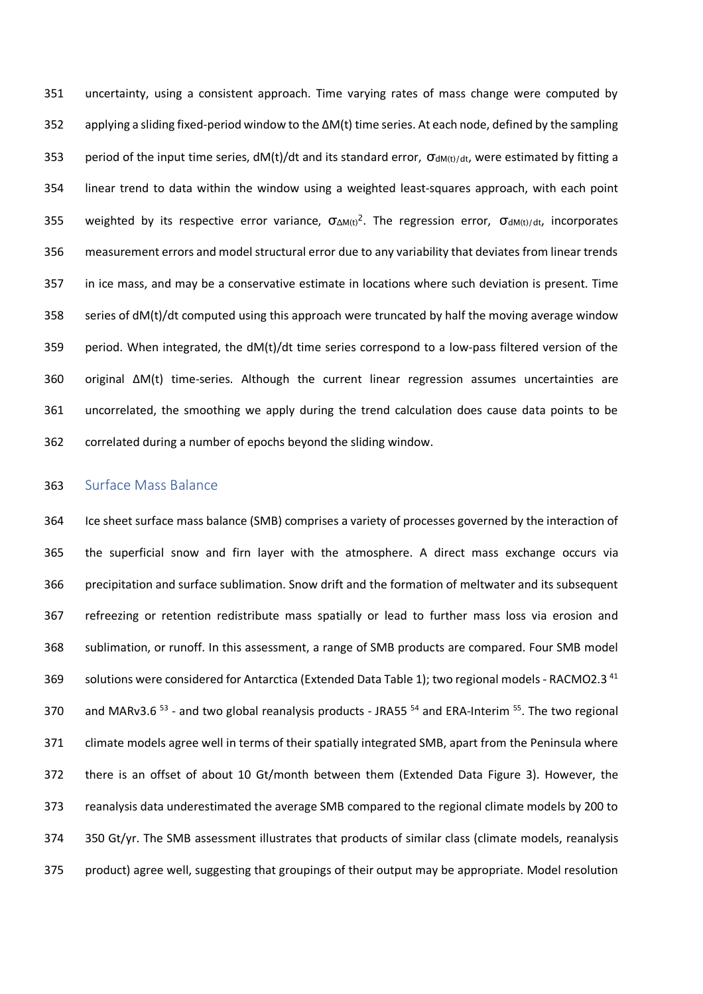uncertainty, using a consistent approach. Time varying rates of mass change were computed by applying a sliding fixed-period window to the ∆M(t) time series. At each node, defined by the sampling 353 period of the input time series,  $dM(t)/dt$  and its standard error,  $\sigma_{dM(t)/dt}$ , were estimated by fitting a linear trend to data within the window using a weighted least-squares approach, with each point 355 weighted by its respective error variance,  $\sigma_{\Delta M(t)}^2$ . The regression error,  $\sigma_{dM(t)/dt}$ , incorporates measurement errors and model structural error due to any variability that deviates from linear trends in ice mass, and may be a conservative estimate in locations where such deviation is present. Time 358 series of dM(t)/dt computed using this approach were truncated by half the moving average window 359 period. When integrated, the  $dM(t)/dt$  time series correspond to a low-pass filtered version of the original ∆M(t) time-series. Although the current linear regression assumes uncertainties are uncorrelated, the smoothing we apply during the trend calculation does cause data points to be correlated during a number of epochs beyond the sliding window.

### Surface Mass Balance

 Ice sheet surface mass balance (SMB) comprises a variety of processes governed by the interaction of the superficial snow and firn layer with the atmosphere. A direct mass exchange occurs via precipitation and surface sublimation. Snow drift and the formation of meltwater and its subsequent refreezing or retention redistribute mass spatially or lead to further mass loss via erosion and sublimation, or runoff. In this assessment, a range of SMB products are compared. Four SMB model 369 solutions were considered for Antarctica (Extended Data Table 1); two regional models - RACMO2.3<sup>41</sup> 370 and MARv3.6 - and two global reanalysis products - JRA55  $54$  and ERA-Interim  $55$ . The two regional climate models agree well in terms of their spatially integrated SMB, apart from the Peninsula where there is an offset of about 10 Gt/month between them (Extended Data Figure 3). However, the reanalysis data underestimated the average SMB compared to the regional climate models by 200 to 350 Gt/yr. The SMB assessment illustrates that products of similar class (climate models, reanalysis product) agree well, suggesting that groupings of their output may be appropriate. Model resolution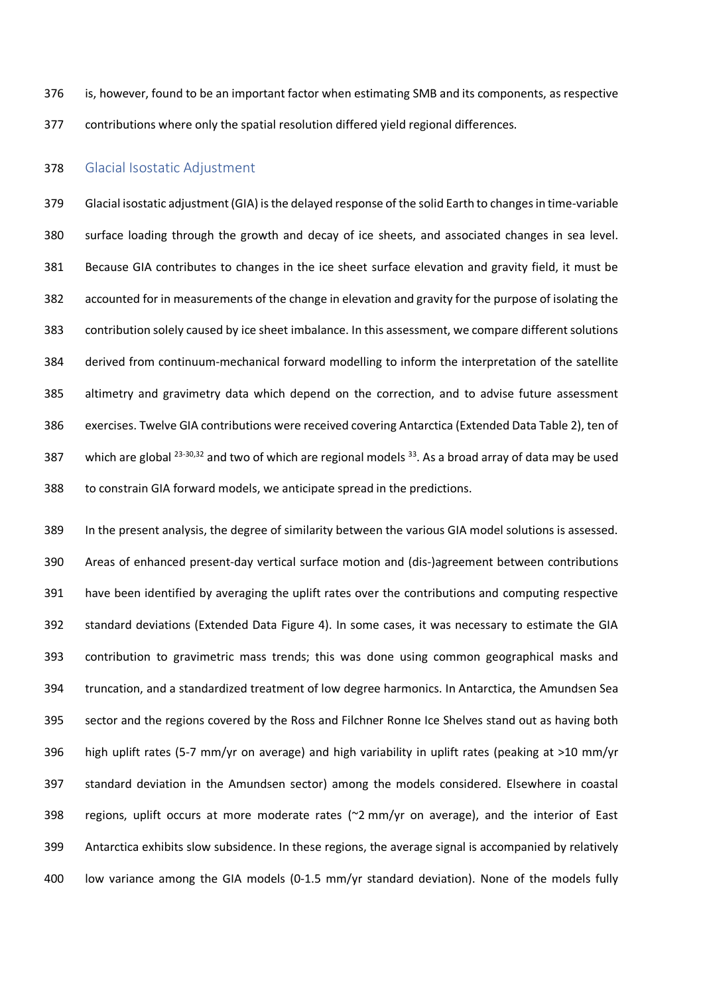is, however, found to be an important factor when estimating SMB and its components, as respective contributions where only the spatial resolution differed yield regional differences.

### Glacial Isostatic Adjustment

 Glacial isostatic adjustment (GIA) is the delayed response of the solid Earth to changes in time-variable surface loading through the growth and decay of ice sheets, and associated changes in sea level. Because GIA contributes to changes in the ice sheet surface elevation and gravity field, it must be accounted for in measurements of the change in elevation and gravity for the purpose of isolating the contribution solely caused by ice sheet imbalance. In this assessment, we compare different solutions derived from continuum-mechanical forward modelling to inform the interpretation of the satellite altimetry and gravimetry data which depend on the correction, and to advise future assessment exercises. Twelve GIA contributions were received covering Antarctica (Extended Data Table 2), ten of 387 which are global  $^{23\text{-}30,32}$  and two of which are regional models  $^{33}$ . As a broad array of data may be used to constrain GIA forward models, we anticipate spread in the predictions.

 In the present analysis, the degree of similarity between the various GIA model solutions is assessed. Areas of enhanced present-day vertical surface motion and (dis-)agreement between contributions have been identified by averaging the uplift rates over the contributions and computing respective standard deviations (Extended Data Figure 4). In some cases, it was necessary to estimate the GIA contribution to gravimetric mass trends; this was done using common geographical masks and truncation, and a standardized treatment of low degree harmonics. In Antarctica, the Amundsen Sea sector and the regions covered by the Ross and Filchner Ronne Ice Shelves stand out as having both high uplift rates (5-7 mm/yr on average) and high variability in uplift rates (peaking at >10 mm/yr standard deviation in the Amundsen sector) among the models considered. Elsewhere in coastal regions, uplift occurs at more moderate rates (~2 mm/yr on average), and the interior of East Antarctica exhibits slow subsidence. In these regions, the average signal is accompanied by relatively low variance among the GIA models (0-1.5 mm/yr standard deviation). None of the models fully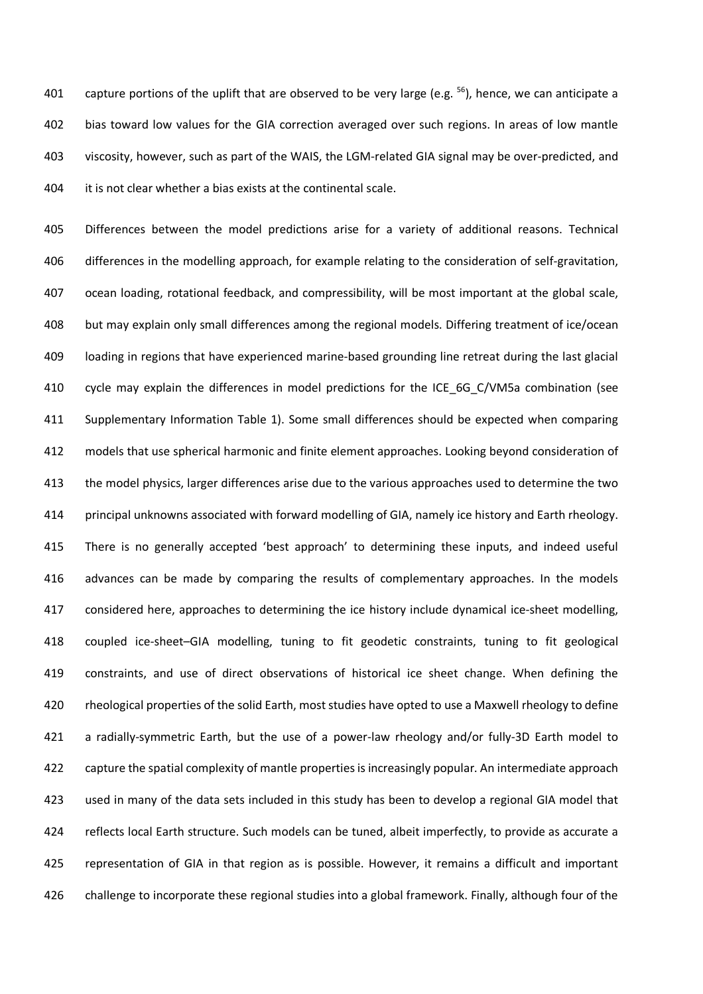401 capture portions of the uplift that are observed to be very large (e.g.  $^{56}$ ), hence, we can anticipate a bias toward low values for the GIA correction averaged over such regions. In areas of low mantle viscosity, however, such as part of the WAIS, the LGM-related GIA signal may be over-predicted, and it is not clear whether a bias exists at the continental scale.

 Differences between the model predictions arise for a variety of additional reasons. Technical differences in the modelling approach, for example relating to the consideration of self-gravitation, ocean loading, rotational feedback, and compressibility, will be most important at the global scale, but may explain only small differences among the regional models. Differing treatment of ice/ocean loading in regions that have experienced marine-based grounding line retreat during the last glacial cycle may explain the differences in model predictions for the ICE\_6G\_C/VM5a combination (see Supplementary Information Table 1). Some small differences should be expected when comparing models that use spherical harmonic and finite element approaches. Looking beyond consideration of the model physics, larger differences arise due to the various approaches used to determine the two principal unknowns associated with forward modelling of GIA, namely ice history and Earth rheology. There is no generally accepted 'best approach' to determining these inputs, and indeed useful advances can be made by comparing the results of complementary approaches. In the models 417 considered here, approaches to determining the ice history include dynamical ice-sheet modelling, coupled ice-sheet–GIA modelling, tuning to fit geodetic constraints, tuning to fit geological constraints, and use of direct observations of historical ice sheet change. When defining the rheological properties of the solid Earth, most studies have opted to use a Maxwell rheology to define a radially-symmetric Earth, but the use of a power-law rheology and/or fully-3D Earth model to 422 capture the spatial complexity of mantle properties is increasingly popular. An intermediate approach used in many of the data sets included in this study has been to develop a regional GIA model that 424 reflects local Earth structure. Such models can be tuned, albeit imperfectly, to provide as accurate a representation of GIA in that region as is possible. However, it remains a difficult and important challenge to incorporate these regional studies into a global framework. Finally, although four of the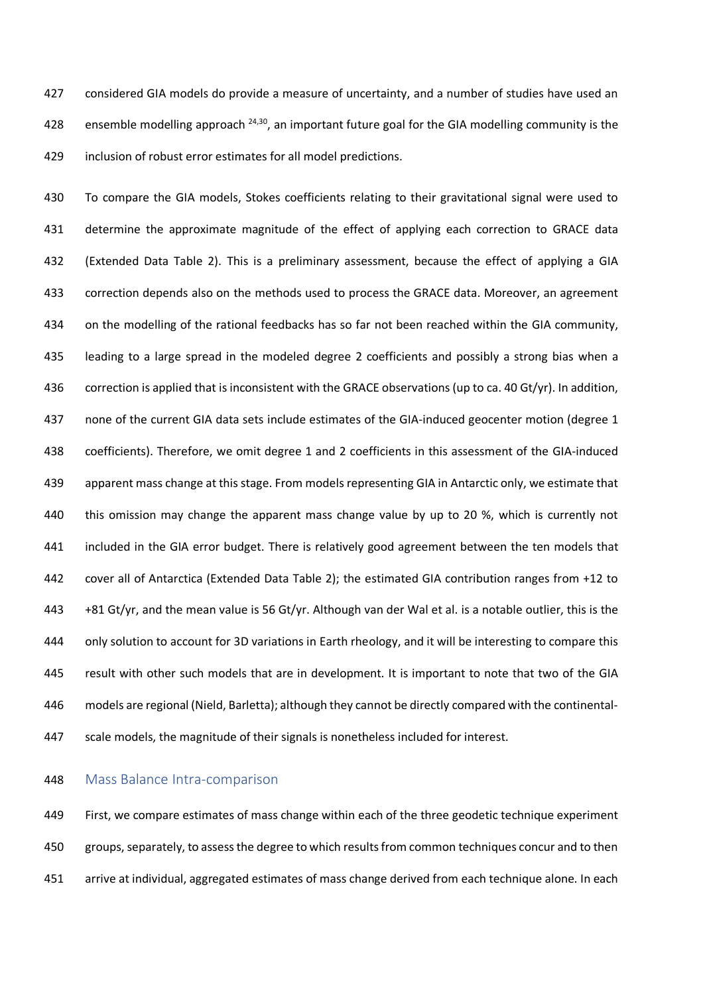considered GIA models do provide a measure of uncertainty, and a number of studies have used an 428 ensemble modelling approach  $24,30$ , an important future goal for the GIA modelling community is the inclusion of robust error estimates for all model predictions.

 To compare the GIA models, Stokes coefficients relating to their gravitational signal were used to 431 determine the approximate magnitude of the effect of applying each correction to GRACE data (Extended Data Table 2). This is a preliminary assessment, because the effect of applying a GIA correction depends also on the methods used to process the GRACE data. Moreover, an agreement on the modelling of the rational feedbacks has so far not been reached within the GIA community, leading to a large spread in the modeled degree 2 coefficients and possibly a strong bias when a correction is applied that is inconsistent with the GRACE observations (up to ca. 40 Gt/yr). In addition, none of the current GIA data sets include estimates of the GIA-induced geocenter motion (degree 1 coefficients). Therefore, we omit degree 1 and 2 coefficients in this assessment of the GIA-induced apparent mass change at this stage. From models representing GIA in Antarctic only, we estimate that 440 this omission may change the apparent mass change value by up to 20 %, which is currently not included in the GIA error budget. There is relatively good agreement between the ten models that cover all of Antarctica (Extended Data Table 2); the estimated GIA contribution ranges from +12 to +81 Gt/yr, and the mean value is 56 Gt/yr. Although van der Wal et al. is a notable outlier, this is the only solution to account for 3D variations in Earth rheology, and it will be interesting to compare this result with other such models that are in development. It is important to note that two of the GIA models are regional (Nield, Barletta); although they cannot be directly compared with the continental-scale models, the magnitude of their signals is nonetheless included for interest.

#### Mass Balance Intra-comparison

 First, we compare estimates of mass change within each of the three geodetic technique experiment groups, separately, to assess the degree to which results from common techniques concur and to then arrive at individual, aggregated estimates of mass change derived from each technique alone. In each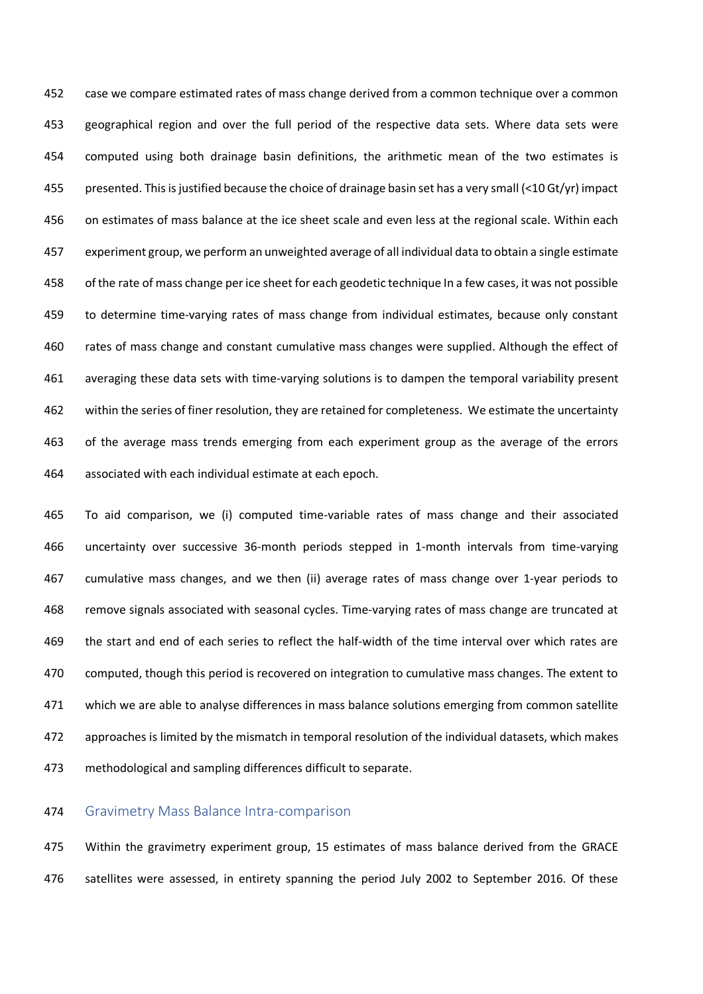case we compare estimated rates of mass change derived from a common technique over a common geographical region and over the full period of the respective data sets. Where data sets were computed using both drainage basin definitions, the arithmetic mean of the two estimates is presented. This is justified because the choice of drainage basin set has a very small (<10 Gt/yr) impact on estimates of mass balance at the ice sheet scale and even less at the regional scale. Within each experiment group, we perform an unweighted average of all individual data to obtain a single estimate of the rate of mass change per ice sheet for each geodetic technique In a few cases, it was not possible to determine time-varying rates of mass change from individual estimates, because only constant rates of mass change and constant cumulative mass changes were supplied. Although the effect of averaging these data sets with time-varying solutions is to dampen the temporal variability present within the series of finer resolution, they are retained for completeness. We estimate the uncertainty of the average mass trends emerging from each experiment group as the average of the errors associated with each individual estimate at each epoch.

 To aid comparison, we (i) computed time-variable rates of mass change and their associated uncertainty over successive 36-month periods stepped in 1-month intervals from time-varying cumulative mass changes, and we then (ii) average rates of mass change over 1-year periods to remove signals associated with seasonal cycles. Time-varying rates of mass change are truncated at the start and end of each series to reflect the half-width of the time interval over which rates are computed, though this period is recovered on integration to cumulative mass changes. The extent to which we are able to analyse differences in mass balance solutions emerging from common satellite approaches is limited by the mismatch in temporal resolution of the individual datasets, which makes methodological and sampling differences difficult to separate.

### Gravimetry Mass Balance Intra-comparison

 Within the gravimetry experiment group, 15 estimates of mass balance derived from the GRACE satellites were assessed, in entirety spanning the period July 2002 to September 2016. Of these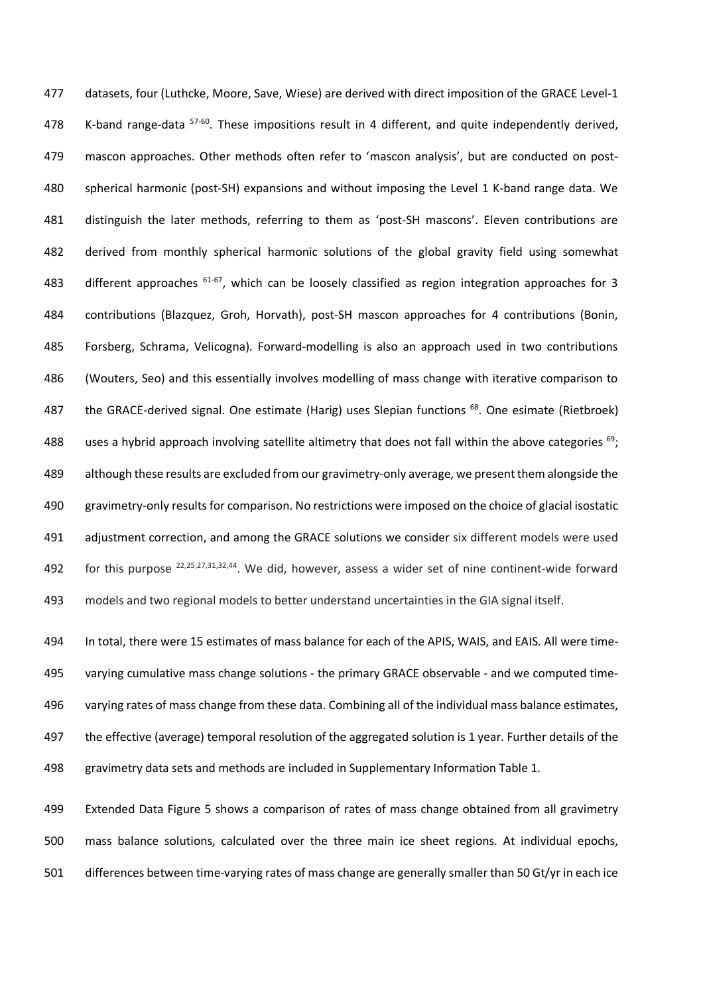datasets, four (Luthcke, Moore, Save, Wiese) are derived with direct imposition of the GRACE Level-1 478 K-band range-data <sup>57-60</sup>. These impositions result in 4 different, and quite independently derived, mascon approaches. Other methods often refer to 'mascon analysis', but are conducted on post- spherical harmonic (post-SH) expansions and without imposing the Level 1 K-band range data. We distinguish the later methods, referring to them as 'post-SH mascons'. Eleven contributions are derived from monthly spherical harmonic solutions of the global gravity field using somewhat 483 different approaches  $61-67$ , which can be loosely classified as region integration approaches for 3 contributions (Blazquez, Groh, Horvath), post-SH mascon approaches for 4 contributions (Bonin, Forsberg, Schrama, Velicogna). Forward-modelling is also an approach used in two contributions (Wouters, Seo) and this essentially involves modelling of mass change with iterative comparison to 487 the GRACE-derived signal. One estimate (Harig) uses Slepian functions  $^{68}$ . One esimate (Rietbroek) 488 uses a hybrid approach involving satellite altimetry that does not fall within the above categories  $^{69}$ ; although these results are excluded from our gravimetry-only average, we present them alongside the gravimetry-only results for comparison. No restrictions were imposed on the choice of glacial isostatic adjustment correction, and among the GRACE solutions we consider six different models were used 492 for this purpose  $22,25,27,31,32,44$ . We did, however, assess a wider set of nine continent-wide forward models and two regional models to better understand uncertainties in the GIA signal itself.

 In total, there were 15 estimates of mass balance for each of the APIS, WAIS, and EAIS. All were time- varying cumulative mass change solutions - the primary GRACE observable - and we computed time- varying rates of mass change from these data. Combining all of the individual mass balance estimates, the effective (average) temporal resolution of the aggregated solution is 1 year. Further details of the gravimetry data sets and methods are included in Supplementary Information Table 1.

 Extended Data Figure 5 shows a comparison of rates of mass change obtained from all gravimetry mass balance solutions, calculated over the three main ice sheet regions. At individual epochs, differences between time-varying rates of mass change are generally smaller than 50 Gt/yr in each ice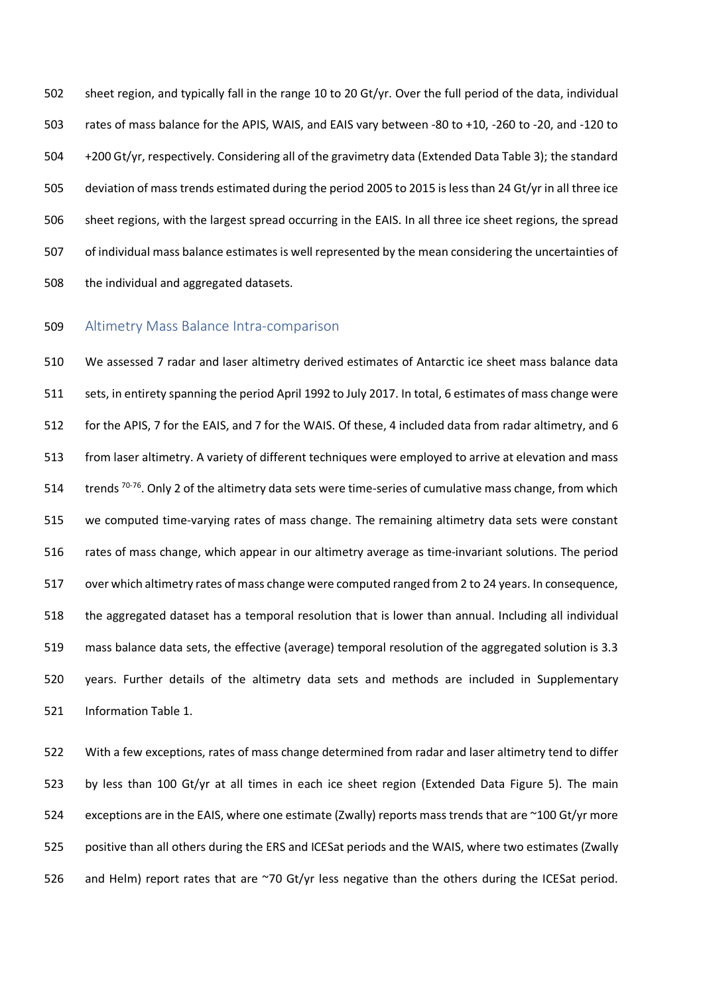sheet region, and typically fall in the range 10 to 20 Gt/yr. Over the full period of the data, individual rates of mass balance for the APIS, WAIS, and EAIS vary between -80 to +10, -260 to -20, and -120 to +200 Gt/yr, respectively. Considering all of the gravimetry data (Extended Data Table 3); the standard deviation of mass trends estimated during the period 2005 to 2015 is less than 24 Gt/yr in all three ice sheet regions, with the largest spread occurring in the EAIS. In all three ice sheet regions, the spread of individual mass balance estimates is well represented by the mean considering the uncertainties of the individual and aggregated datasets.

### Altimetry Mass Balance Intra-comparison

 We assessed 7 radar and laser altimetry derived estimates of Antarctic ice sheet mass balance data sets, in entirety spanning the period April 1992 to July 2017. In total, 6 estimates of mass change were for the APIS, 7 for the EAIS, and 7 for the WAIS. Of these, 4 included data from radar altimetry, and 6 from laser altimetry. A variety of different techniques were employed to arrive at elevation and mass 514 trends  $70-76$ . Only 2 of the altimetry data sets were time-series of cumulative mass change, from which we computed time-varying rates of mass change. The remaining altimetry data sets were constant rates of mass change, which appear in our altimetry average as time-invariant solutions. The period over which altimetry rates of mass change were computed ranged from 2 to 24 years. In consequence, the aggregated dataset has a temporal resolution that is lower than annual. Including all individual mass balance data sets, the effective (average) temporal resolution of the aggregated solution is 3.3 years. Further details of the altimetry data sets and methods are included in Supplementary Information Table 1.

 With a few exceptions, rates of mass change determined from radar and laser altimetry tend to differ by less than 100 Gt/yr at all times in each ice sheet region (Extended Data Figure 5). The main exceptions are in the EAIS, where one estimate (Zwally) reports mass trends that are ~100 Gt/yr more positive than all others during the ERS and ICESat periods and the WAIS, where two estimates (Zwally 526 and Helm) report rates that are ~70 Gt/yr less negative than the others during the ICESat period.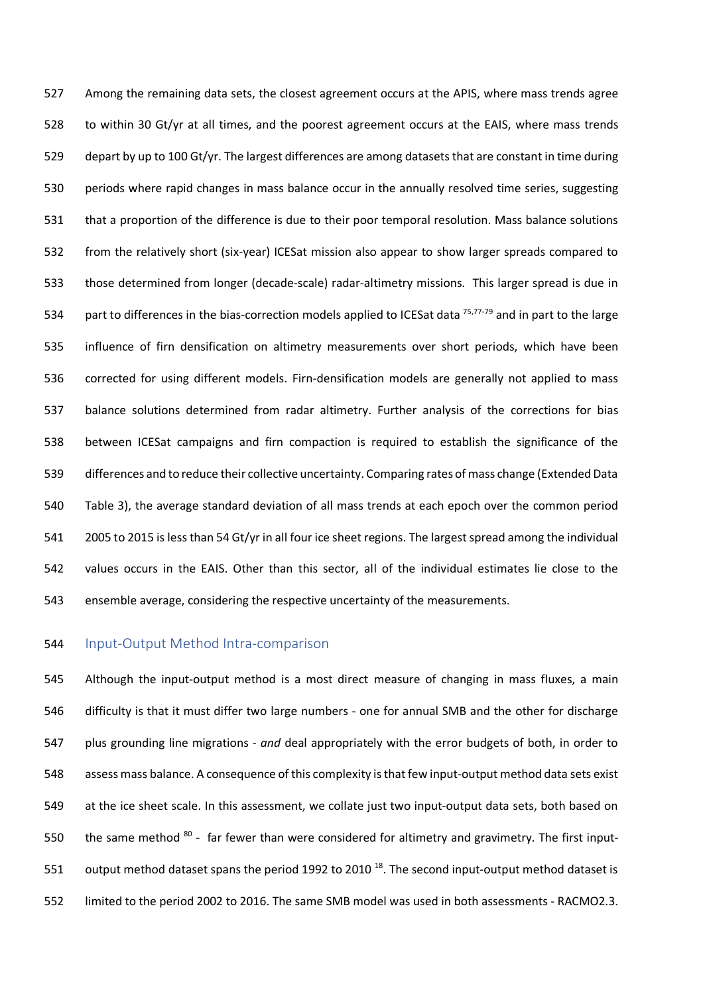Among the remaining data sets, the closest agreement occurs at the APIS, where mass trends agree to within 30 Gt/yr at all times, and the poorest agreement occurs at the EAIS, where mass trends depart by up to 100 Gt/yr. The largest differences are among datasets that are constant in time during periods where rapid changes in mass balance occur in the annually resolved time series, suggesting that a proportion of the difference is due to their poor temporal resolution. Mass balance solutions from the relatively short (six-year) ICESat mission also appear to show larger spreads compared to those determined from longer (decade-scale) radar-altimetry missions. This larger spread is due in 534 part to differences in the bias-correction models applied to ICESat data  $75,77-79$  and in part to the large influence of firn densification on altimetry measurements over short periods, which have been corrected for using different models. Firn-densification models are generally not applied to mass balance solutions determined from radar altimetry. Further analysis of the corrections for bias between ICESat campaigns and firn compaction is required to establish the significance of the differences and to reduce their collective uncertainty. Comparing rates of mass change (Extended Data Table 3), the average standard deviation of all mass trends at each epoch over the common period 2005 to 2015 is less than 54 Gt/yr in all four ice sheet regions. The largest spread among the individual values occurs in the EAIS. Other than this sector, all of the individual estimates lie close to the ensemble average, considering the respective uncertainty of the measurements.

## Input-Output Method Intra-comparison

 Although the input-output method is a most direct measure of changing in mass fluxes, a main difficulty is that it must differ two large numbers - one for annual SMB and the other for discharge plus grounding line migrations - *and* deal appropriately with the error budgets of both, in order to assess mass balance. A consequence of this complexity is that few input-output method data sets exist at the ice sheet scale. In this assessment, we collate just two input-output data sets, both based on 550 the same method - far fewer than were considered for altimetry and gravimetry. The first input-551 output method dataset spans the period 1992 to 2010<sup>18</sup>. The second input-output method dataset is limited to the period 2002 to 2016. The same SMB model was used in both assessments - RACMO2.3.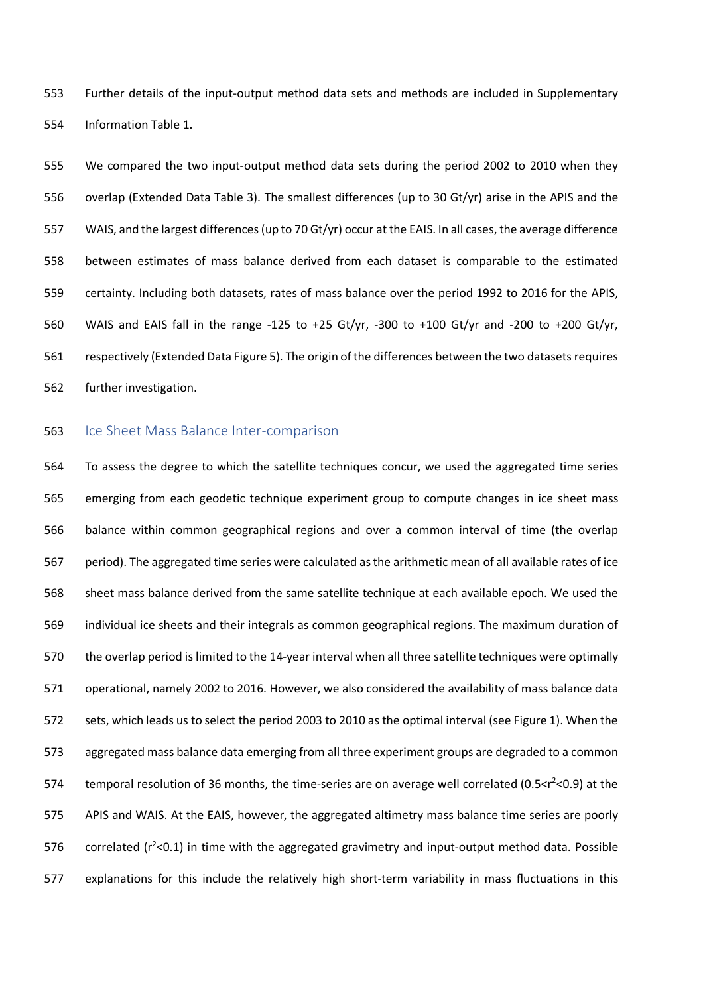Further details of the input-output method data sets and methods are included in Supplementary Information Table 1.

 We compared the two input-output method data sets during the period 2002 to 2010 when they overlap (Extended Data Table 3). The smallest differences (up to 30 Gt/yr) arise in the APIS and the WAIS, and the largest differences (up to 70 Gt/yr) occur at the EAIS. In all cases, the average difference between estimates of mass balance derived from each dataset is comparable to the estimated certainty. Including both datasets, rates of mass balance over the period 1992 to 2016 for the APIS, WAIS and EAIS fall in the range -125 to +25 Gt/yr, -300 to +100 Gt/yr and -200 to +200 Gt/yr, respectively (Extended Data Figure 5). The origin of the differences between the two datasets requires further investigation.

### 563 Ice Sheet Mass Balance Inter-comparison

 To assess the degree to which the satellite techniques concur, we used the aggregated time series emerging from each geodetic technique experiment group to compute changes in ice sheet mass balance within common geographical regions and over a common interval of time (the overlap period). The aggregated time series were calculated as the arithmetic mean of all available rates of ice sheet mass balance derived from the same satellite technique at each available epoch. We used the individual ice sheets and their integrals as common geographical regions. The maximum duration of the overlap period is limited to the 14-year interval when all three satellite techniques were optimally operational, namely 2002 to 2016. However, we also considered the availability of mass balance data sets, which leads us to select the period 2003 to 2010 as the optimal interval (see Figure 1). When the aggregated mass balance data emerging from all three experiment groups are degraded to a common 574 temporal resolution of 36 months, the time-series are on average well correlated (0.5 $<$ r<sup>2</sup> < 0.9) at the APIS and WAIS. At the EAIS, however, the aggregated altimetry mass balance time series are poorly 576 correlated ( $r^2$ <0.1) in time with the aggregated gravimetry and input-output method data. Possible explanations for this include the relatively high short-term variability in mass fluctuations in this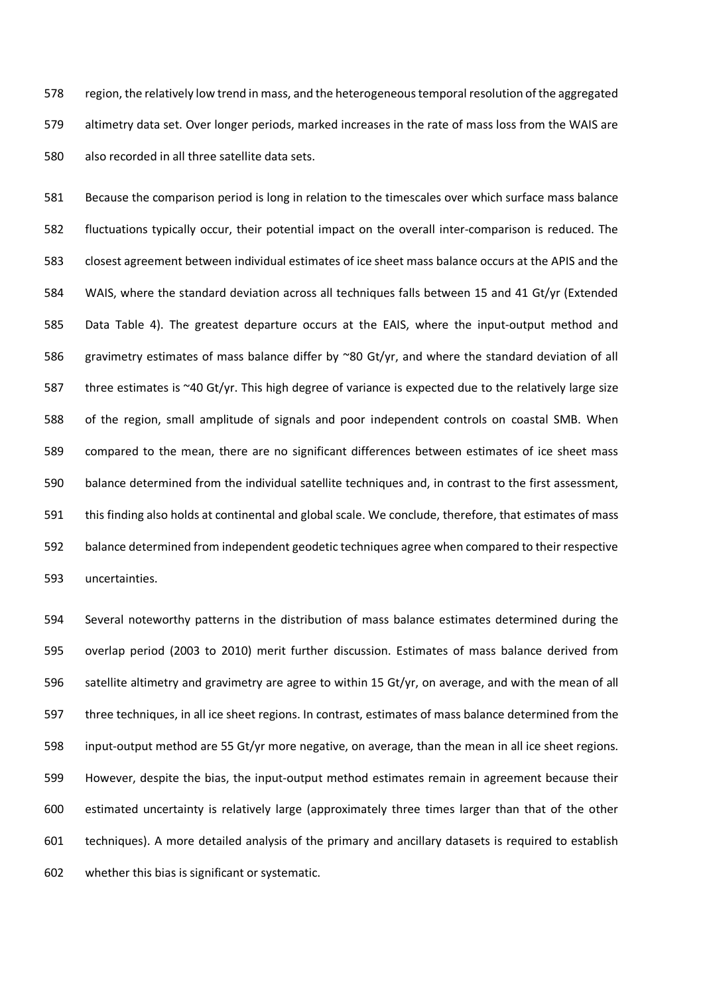region, the relatively low trend in mass, and the heterogeneous temporal resolution of the aggregated altimetry data set. Over longer periods, marked increases in the rate of mass loss from the WAIS are also recorded in all three satellite data sets.

 Because the comparison period is long in relation to the timescales over which surface mass balance fluctuations typically occur, their potential impact on the overall inter-comparison is reduced. The closest agreement between individual estimates of ice sheet mass balance occurs at the APIS and the WAIS, where the standard deviation across all techniques falls between 15 and 41 Gt/yr (Extended Data Table 4). The greatest departure occurs at the EAIS, where the input-output method and gravimetry estimates of mass balance differ by ~80 Gt/yr, and where the standard deviation of all three estimates is ~40 Gt/yr. This high degree of variance is expected due to the relatively large size of the region, small amplitude of signals and poor independent controls on coastal SMB. When compared to the mean, there are no significant differences between estimates of ice sheet mass balance determined from the individual satellite techniques and, in contrast to the first assessment, this finding also holds at continental and global scale. We conclude, therefore, that estimates of mass balance determined from independent geodetic techniques agree when compared to their respective uncertainties.

 Several noteworthy patterns in the distribution of mass balance estimates determined during the overlap period (2003 to 2010) merit further discussion. Estimates of mass balance derived from satellite altimetry and gravimetry are agree to within 15 Gt/yr, on average, and with the mean of all three techniques, in all ice sheet regions. In contrast, estimates of mass balance determined from the input-output method are 55 Gt/yr more negative, on average, than the mean in all ice sheet regions. However, despite the bias, the input-output method estimates remain in agreement because their estimated uncertainty is relatively large (approximately three times larger than that of the other techniques). A more detailed analysis of the primary and ancillary datasets is required to establish whether this bias is significant or systematic.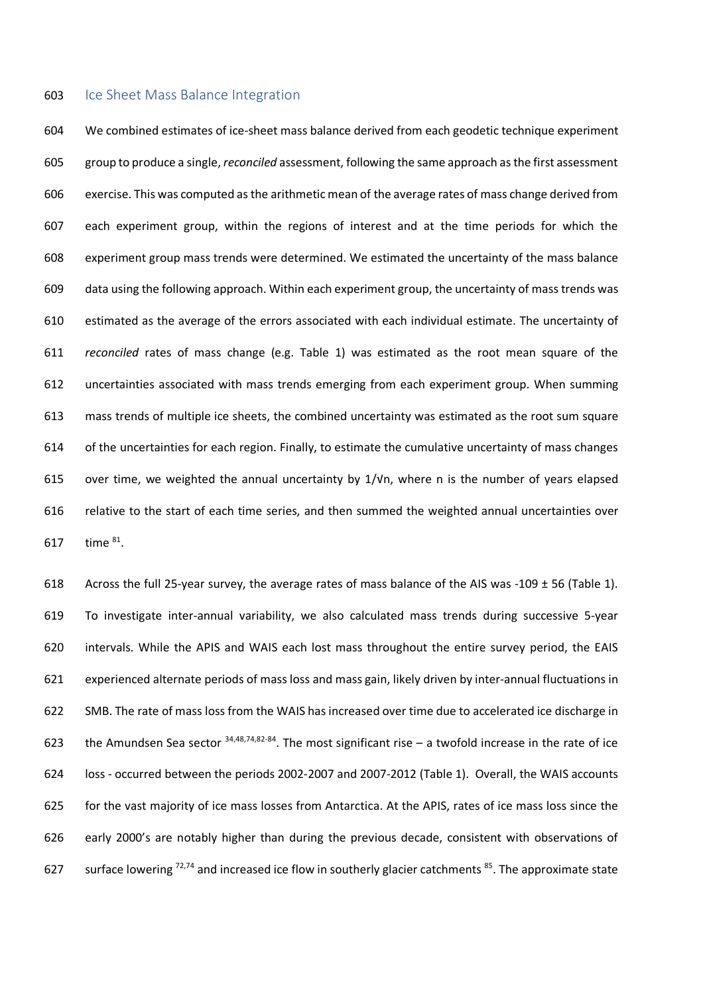#### 603 Ice Sheet Mass Balance Integration

 We combined estimates of ice-sheet mass balance derived from each geodetic technique experiment group to produce a single, *reconciled* assessment, following the same approach as the first assessment exercise. This was computed as the arithmetic mean of the average rates of mass change derived from each experiment group, within the regions of interest and at the time periods for which the experiment group mass trends were determined. We estimated the uncertainty of the mass balance data using the following approach. Within each experiment group, the uncertainty of mass trends was estimated as the average of the errors associated with each individual estimate. The uncertainty of *reconciled* rates of mass change (e.g. Table 1) was estimated as the root mean square of the uncertainties associated with mass trends emerging from each experiment group. When summing mass trends of multiple ice sheets, the combined uncertainty was estimated as the root sum square of the uncertainties for each region. Finally, to estimate the cumulative uncertainty of mass changes over time, we weighted the annual uncertainty by 1/√n, where n is the number of years elapsed relative to the start of each time series, and then summed the weighted annual uncertainties over 617 time <sup>81</sup>.

618 Across the full 25-year survey, the average rates of mass balance of the AIS was -109  $\pm$  56 (Table 1). To investigate inter-annual variability, we also calculated mass trends during successive 5-year intervals. While the APIS and WAIS each lost mass throughout the entire survey period, the EAIS experienced alternate periods of mass loss and mass gain, likely driven by inter-annual fluctuations in SMB. The rate of mass loss from the WAIS has increased over time due to accelerated ice discharge in 623 the Amundsen Sea sector  $34,48,74,82.84$ . The most significant rise – a twofold increase in the rate of ice loss - occurred between the periods 2002-2007 and 2007-2012 (Table 1). Overall, the WAIS accounts for the vast majority of ice mass losses from Antarctica. At the APIS, rates of ice mass loss since the early 2000's are notably higher than during the previous decade, consistent with observations of 627 surface lowering  $72,74$  and increased ice flow in southerly glacier catchments  $85$ . The approximate state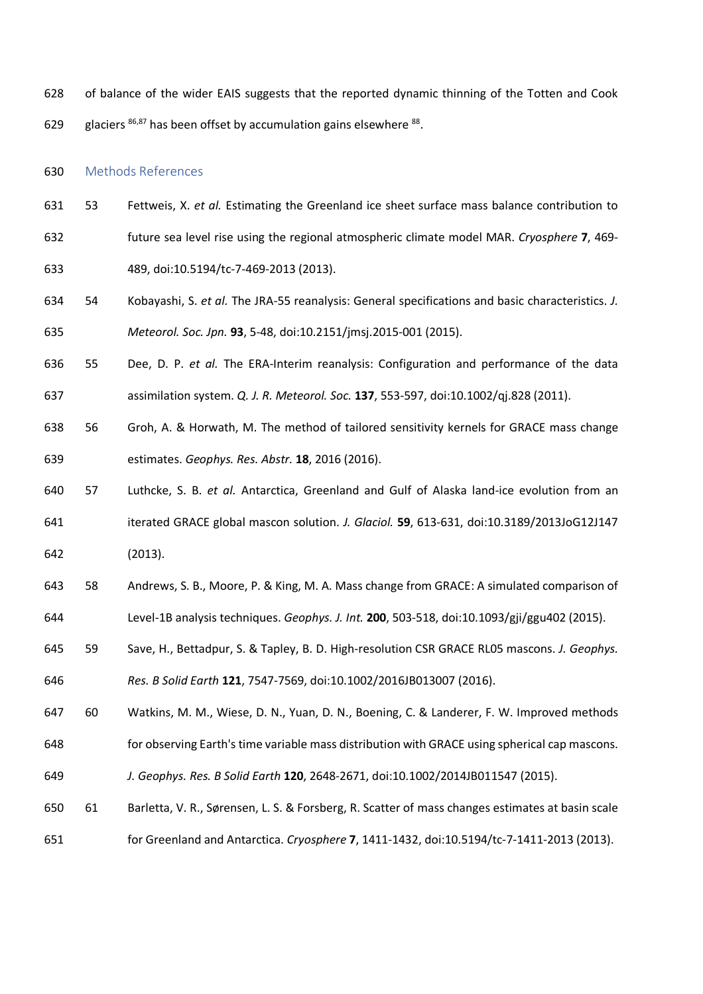- of balance of the wider EAIS suggests that the reported dynamic thinning of the Totten and Cook
- 629 glaciers  $86,87$  has been offset by accumulation gains elsewhere  $88$ .

#### Methods References

- 53 Fettweis, X. *et al.* Estimating the Greenland ice sheet surface mass balance contribution to
- future sea level rise using the regional atmospheric climate model MAR. *Cryosphere* **7**, 469-
- 489, doi:10.5194/tc-7-469-2013 (2013).
- 54 Kobayashi, S. *et al.* The JRA-55 reanalysis: General specifications and basic characteristics. *J. Meteorol. Soc. Jpn.* **93**, 5-48, doi:10.2151/jmsj.2015-001 (2015).
- 55 Dee, D. P. *et al.* The ERA-Interim reanalysis: Configuration and performance of the data
- assimilation system. *Q. J. R. Meteorol. Soc.* **137**, 553-597, doi:10.1002/qj.828 (2011).
- 56 Groh, A. & Horwath, M. The method of tailored sensitivity kernels for GRACE mass change estimates. *Geophys. Res. Abstr.* **18**, 2016 (2016).
- 57 Luthcke, S. B. *et al.* Antarctica, Greenland and Gulf of Alaska land-ice evolution from an iterated GRACE global mascon solution. *J. Glaciol.* **59**, 613-631, doi:10.3189/2013JoG12J147 (2013).
- 58 Andrews, S. B., Moore, P. & King, M. A. Mass change from GRACE: A simulated comparison of Level-1B analysis techniques. *Geophys. J. Int.* **200**, 503-518, doi:10.1093/gji/ggu402 (2015).
- 
- 59 Save, H., Bettadpur, S. & Tapley, B. D. High-resolution CSR GRACE RL05 mascons. *J. Geophys. Res. B Solid Earth* **121**, 7547-7569, doi:10.1002/2016JB013007 (2016).
- 60 Watkins, M. M., Wiese, D. N., Yuan, D. N., Boening, C. & Landerer, F. W. Improved methods
- for observing Earth's time variable mass distribution with GRACE using spherical cap mascons.
- *J. Geophys. Res. B Solid Earth* **120**, 2648-2671, doi:10.1002/2014JB011547 (2015).
- 61 Barletta, V. R., Sørensen, L. S. & Forsberg, R. Scatter of mass changes estimates at basin scale
- for Greenland and Antarctica. *Cryosphere* **7**, 1411-1432, doi:10.5194/tc-7-1411-2013 (2013).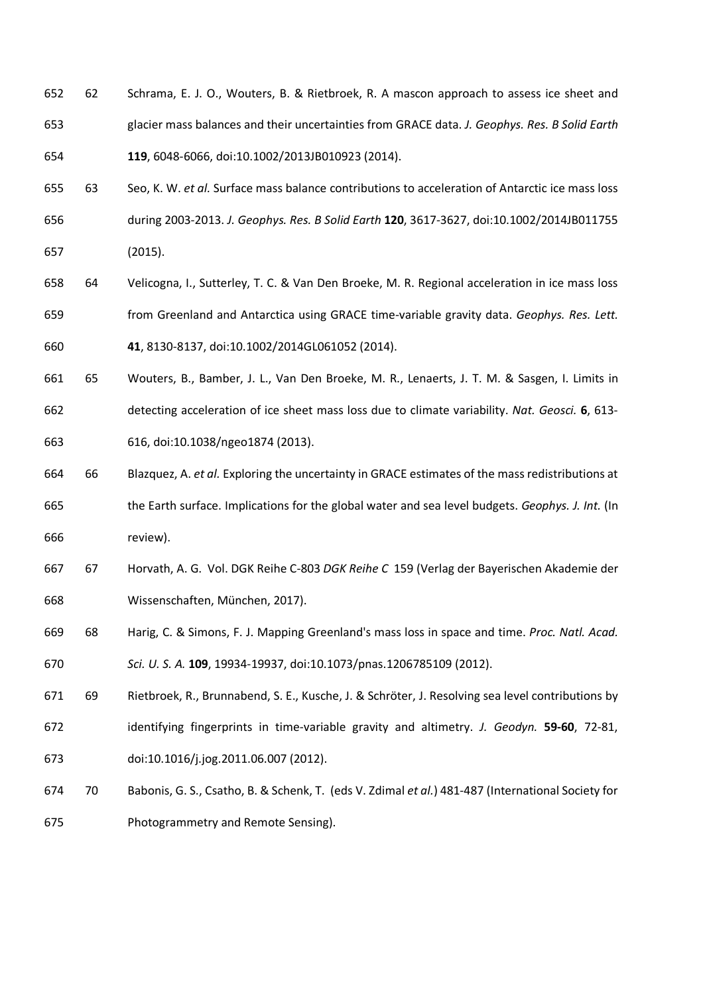- 62 Schrama, E. J. O., Wouters, B. & Rietbroek, R. A mascon approach to assess ice sheet and glacier mass balances and their uncertainties from GRACE data. *J. Geophys. Res. B Solid Earth* **119**, 6048-6066, doi:10.1002/2013JB010923 (2014).
- 63 Seo, K. W. *et al.* Surface mass balance contributions to acceleration of Antarctic ice mass loss during 2003-2013. *J. Geophys. Res. B Solid Earth* **120**, 3617-3627, doi:10.1002/2014JB011755 (2015).
- 64 Velicogna, I., Sutterley, T. C. & Van Den Broeke, M. R. Regional acceleration in ice mass loss from Greenland and Antarctica using GRACE time-variable gravity data. *Geophys. Res. Lett.* **41**, 8130-8137, doi:10.1002/2014GL061052 (2014).
- 65 Wouters, B., Bamber, J. L., Van Den Broeke, M. R., Lenaerts, J. T. M. & Sasgen, I. Limits in detecting acceleration of ice sheet mass loss due to climate variability. *Nat. Geosci.* **6**, 613- 616, doi:10.1038/ngeo1874 (2013).
- 66 Blazquez, A. *et al.* Exploring the uncertainty in GRACE estimates of the mass redistributions at
- the Earth surface. Implications for the global water and sea level budgets. *Geophys. J. Int.* (In review).
- 67 Horvath, A. G. Vol. DGK Reihe C-803 *DGK Reihe C* 159 (Verlag der Bayerischen Akademie der Wissenschaften, München, 2017).
- 68 Harig, C. & Simons, F. J. Mapping Greenland's mass loss in space and time. *Proc. Natl. Acad.*
- *Sci. U. S. A.* **109**, 19934-19937, doi:10.1073/pnas.1206785109 (2012).
- 69 Rietbroek, R., Brunnabend, S. E., Kusche, J. & Schröter, J. Resolving sea level contributions by
- identifying fingerprints in time-variable gravity and altimetry. *J. Geodyn.* **59-60**, 72-81, doi:10.1016/j.jog.2011.06.007 (2012).
- 70 Babonis, G. S., Csatho, B. & Schenk, T. (eds V. Zdimal *et al.*) 481-487 (International Society for Photogrammetry and Remote Sensing).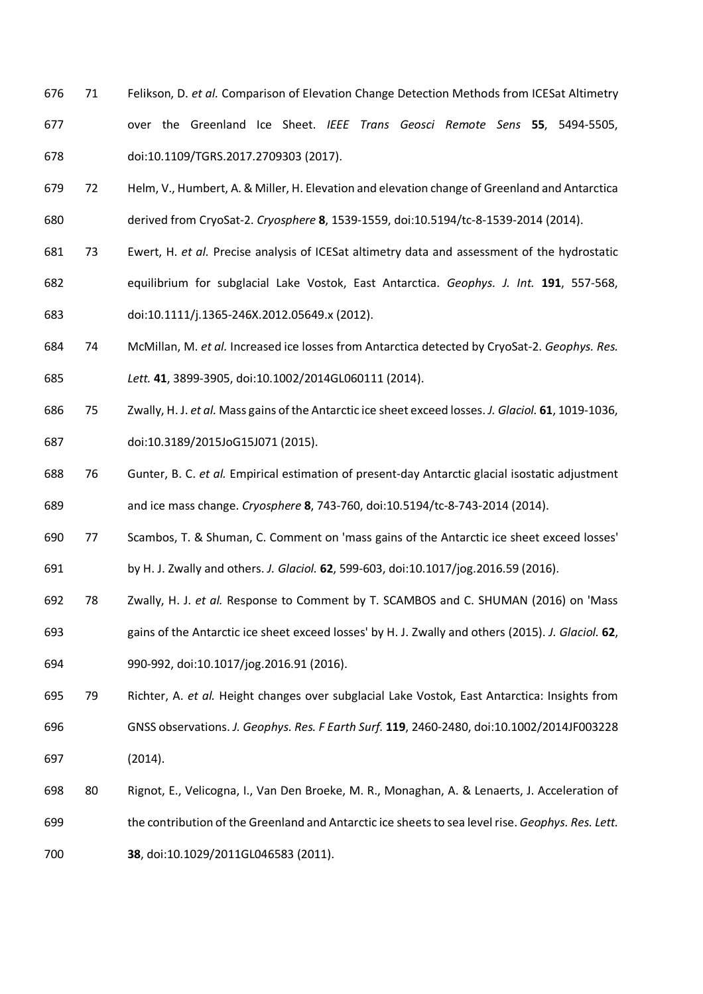- 71 Felikson, D. *et al.* Comparison of Elevation Change Detection Methods from ICESat Altimetry over the Greenland Ice Sheet. *IEEE Trans Geosci Remote Sens* **55**, 5494-5505, doi:10.1109/TGRS.2017.2709303 (2017).
- 72 Helm, V., Humbert, A. & Miller, H. Elevation and elevation change of Greenland and Antarctica derived from CryoSat-2. *Cryosphere* **8**, 1539-1559, doi:10.5194/tc-8-1539-2014 (2014).
- 73 Ewert, H. *et al.* Precise analysis of ICESat altimetry data and assessment of the hydrostatic equilibrium for subglacial Lake Vostok, East Antarctica. *Geophys. J. Int.* **191**, 557-568, doi:10.1111/j.1365-246X.2012.05649.x (2012).
- 74 McMillan, M. *et al.* Increased ice losses from Antarctica detected by CryoSat-2. *Geophys. Res. Lett.* **41**, 3899-3905, doi:10.1002/2014GL060111 (2014).
- 75 Zwally, H. J. *et al.* Mass gains of the Antarctic ice sheet exceed losses. *J. Glaciol.* **61**, 1019-1036, doi:10.3189/2015JoG15J071 (2015).
- 76 Gunter, B. C. *et al.* Empirical estimation of present-day Antarctic glacial isostatic adjustment and ice mass change. *Cryosphere* **8**, 743-760, doi:10.5194/tc-8-743-2014 (2014).
- 77 Scambos, T. & Shuman, C. Comment on 'mass gains of the Antarctic ice sheet exceed losses' by H. J. Zwally and others. *J. Glaciol.* **62**, 599-603, doi:10.1017/jog.2016.59 (2016).
- 78 Zwally, H. J. *et al.* Response to Comment by T. SCAMBOS and C. SHUMAN (2016) on 'Mass gains of the Antarctic ice sheet exceed losses' by H. J. Zwally and others (2015). *J. Glaciol.* **62**,
- 990-992, doi:10.1017/jog.2016.91 (2016).
- 79 Richter, A. *et al.* Height changes over subglacial Lake Vostok, East Antarctica: Insights from GNSS observations. *J. Geophys. Res. F Earth Surf.* **119**, 2460-2480, doi:10.1002/2014JF003228 (2014).
- 80 Rignot, E., Velicogna, I., Van Den Broeke, M. R., Monaghan, A. & Lenaerts, J. Acceleration of the contribution of the Greenland and Antarctic ice sheets to sea level rise. *Geophys. Res. Lett.* **38**, doi:10.1029/2011GL046583 (2011).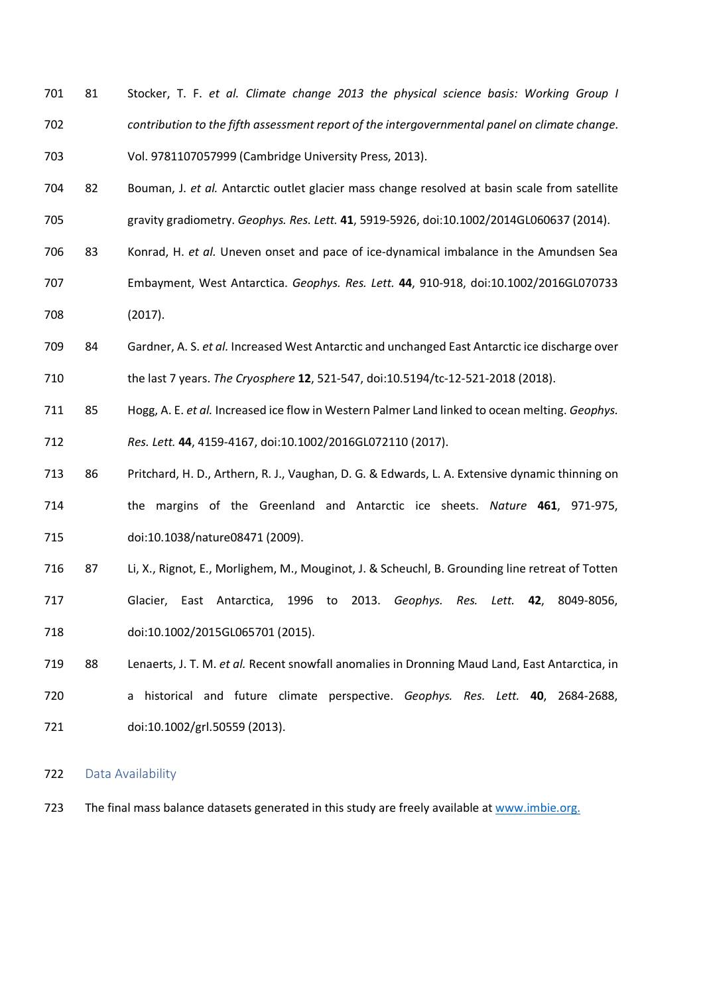- 81 Stocker, T. F. *et al. Climate change 2013 the physical science basis: Working Group I contribution to the fifth assessment report of the intergovernmental panel on climate change*. Vol. 9781107057999 (Cambridge University Press, 2013).
- 82 Bouman, J. *et al.* Antarctic outlet glacier mass change resolved at basin scale from satellite gravity gradiometry. *Geophys. Res. Lett.* **41**, 5919-5926, doi:10.1002/2014GL060637 (2014).
- 83 Konrad, H. *et al.* Uneven onset and pace of ice-dynamical imbalance in the Amundsen Sea
- Embayment, West Antarctica. *Geophys. Res. Lett.* **44**, 910-918, doi:10.1002/2016GL070733 (2017).
- 84 Gardner, A. S. *et al.* Increased West Antarctic and unchanged East Antarctic ice discharge over the last 7 years. *The Cryosphere* **12**, 521-547, doi:10.5194/tc-12-521-2018 (2018).
- 85 Hogg, A. E. *et al.* Increased ice flow in Western Palmer Land linked to ocean melting. *Geophys. Res. Lett.* **44**, 4159-4167, doi:10.1002/2016GL072110 (2017).
- 86 Pritchard, H. D., Arthern, R. J., Vaughan, D. G. & Edwards, L. A. Extensive dynamic thinning on the margins of the Greenland and Antarctic ice sheets. *Nature* **461**, 971-975, doi:10.1038/nature08471 (2009).
- 87 Li, X., Rignot, E., Morlighem, M., Mouginot, J. & Scheuchl, B. Grounding line retreat of Totten Glacier, East Antarctica, 1996 to 2013. *Geophys. Res. Lett.* **42**, 8049-8056, doi:10.1002/2015GL065701 (2015).
- 88 Lenaerts, J. T. M. *et al.* Recent snowfall anomalies in Dronning Maud Land, East Antarctica, in a historical and future climate perspective. *Geophys. Res. Lett.* **40**, 2684-2688, doi:10.1002/grl.50559 (2013).

#### Data Availability

The final mass balance datasets generated in this study are freely available at www.imbie.org.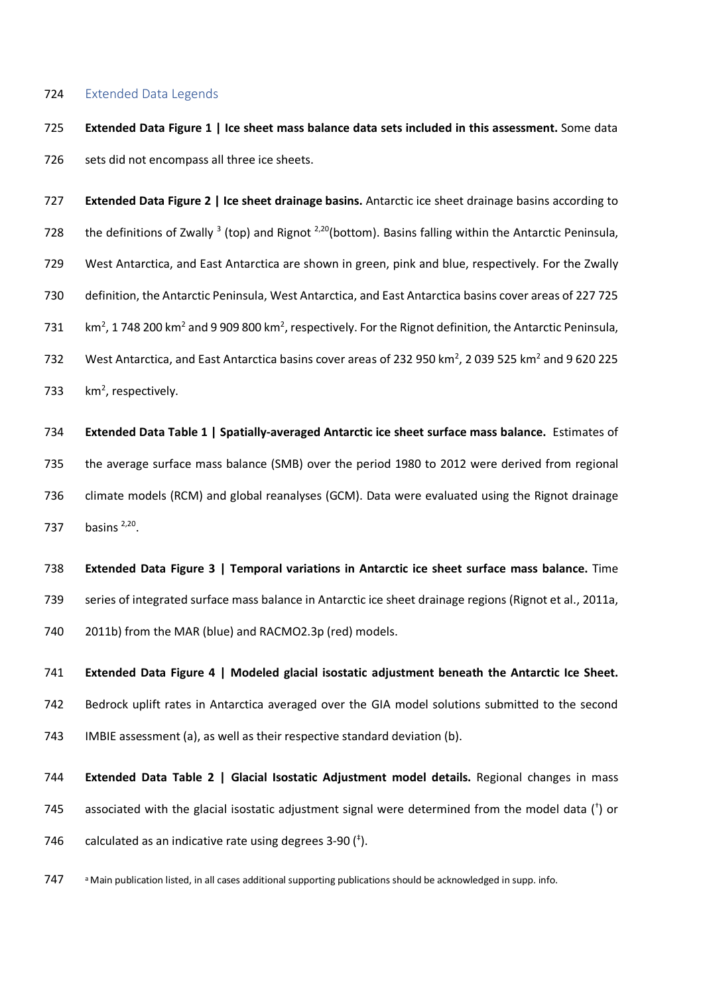#### Extended Data Legends

 **Extended Data Figure 1 | Ice sheet mass balance data sets included in this assessment.** Some data 726 sets did not encompass all three ice sheets.

 **Extended Data Figure 2 | Ice sheet drainage basins.** Antarctic ice sheet drainage basins according to 728 the definitions of Zwally <sup>3</sup> (top) and Rignot <sup>2,20</sup> (bottom). Basins falling within the Antarctic Peninsula, West Antarctica, and East Antarctica are shown in green, pink and blue, respectively. For the Zwally definition, the Antarctic Peninsula, West Antarctica, and East Antarctica basins cover areas of 227 725  $\rm km^2$ , 1 748 200 km<sup>2</sup> and 9 909 800 km<sup>2</sup>, respectively. For the Rignot definition, the Antarctic Peninsula, 732 West Antarctica, and East Antarctica basins cover areas of 232 950 km<sup>2</sup>, 2 039 525 km<sup>2</sup> and 9 620 225  $km^2$ , respectively.

 **Extended Data Table 1 | Spatially-averaged Antarctic ice sheet surface mass balance.** Estimates of the average surface mass balance (SMB) over the period 1980 to 2012 were derived from regional climate models (RCM) and global reanalyses (GCM). Data were evaluated using the Rignot drainage 737 basins  $2,20$ .

 **Extended Data Figure 3 | Temporal variations in Antarctic ice sheet surface mass balance.** Time series of integrated surface mass balance in Antarctic ice sheet drainage regions (Rignot et al., 2011a, 2011b) from the MAR (blue) and RACMO2.3p (red) models.

 **Extended Data Figure 4 | Modeled glacial isostatic adjustment beneath the Antarctic Ice Sheet.**  Bedrock uplift rates in Antarctica averaged over the GIA model solutions submitted to the second IMBIE assessment (a), as well as their respective standard deviation (b).

 **Extended Data Table 2 | Glacial Isostatic Adjustment model details.** Regional changes in mass 745 associated with the glacial isostatic adjustment signal were determined from the model data ( $^{\dagger}$ ) or 746 calculated as an indicative rate using degrees  $3-90$   $($ <sup> $\dagger$ </sup>).

a Main publication listed, in all cases additional supporting publications should be acknowledged in supp. info.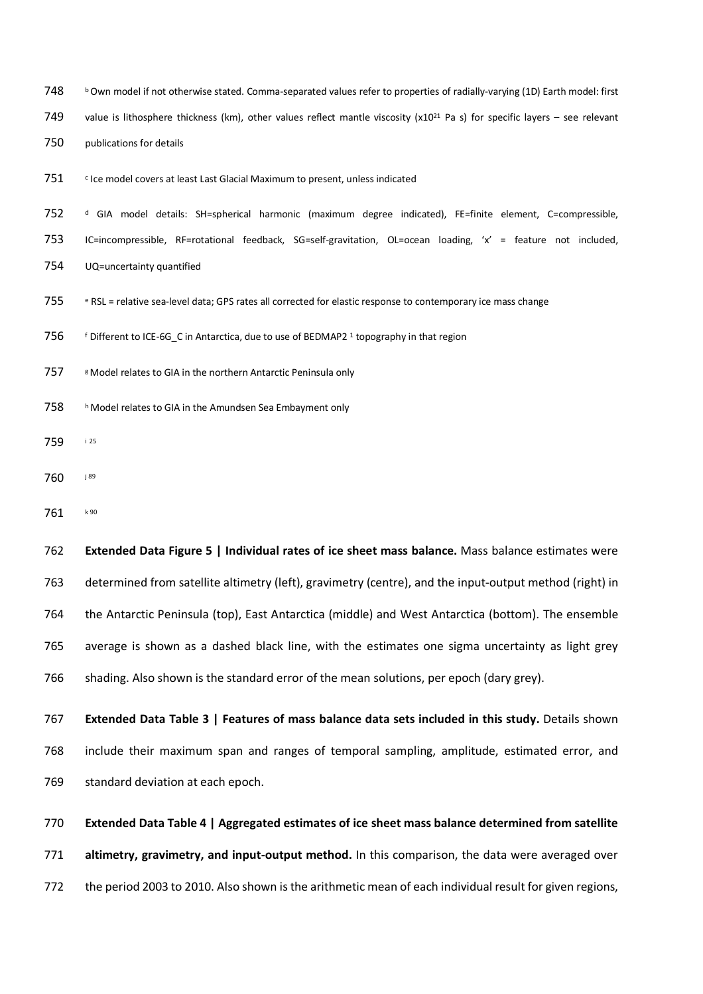- 748 b Own model if not otherwise stated. Comma-separated values refer to properties of radially-varying (1D) Earth model: first
- 749 value is lithosphere thickness (km), other values reflect mantle viscosity (x10<sup>21</sup> Pa s) for specific layers see relevant
- publications for details
- $\cdot$  Ice model covers at least Last Glacial Maximum to present, unless indicated

 <sup>d</sup> GIA model details: SH=spherical harmonic (maximum degree indicated), FE=finite element, C=compressible, IC=incompressible, RF=rotational feedback, SG=self-gravitation, OL=ocean loading, 'x' = feature not included, UQ=uncertainty quantified

- <sup>e</sup> RSL = relative sea-level data; GPS rates all corrected for elastic response to contemporary ice mass change
- 756 <sup>f</sup> Different to ICE-6G C in Antarctica, due to use of BEDMAP2 <sup>1</sup> topography in that region
- 757 & Model relates to GIA in the northern Antarctic Peninsula only
- 758 h Model relates to GIA in the Amundsen Sea Embayment only
- <sup>i</sup> <sup>25</sup>
- **j** 89
- 761 k90

 **Extended Data Figure 5 | Individual rates of ice sheet mass balance.** Mass balance estimates were determined from satellite altimetry (left), gravimetry (centre), and the input-output method (right) in the Antarctic Peninsula (top), East Antarctica (middle) and West Antarctica (bottom). The ensemble average is shown as a dashed black line, with the estimates one sigma uncertainty as light grey 766 shading. Also shown is the standard error of the mean solutions, per epoch (dary grey).

 **Extended Data Table 3 | Features of mass balance data sets included in this study.** Details shown include their maximum span and ranges of temporal sampling, amplitude, estimated error, and standard deviation at each epoch.

 **Extended Data Table 4 | Aggregated estimates of ice sheet mass balance determined from satellite altimetry, gravimetry, and input-output method.** In this comparison, the data were averaged over the period 2003 to 2010. Also shown is the arithmetic mean of each individual result for given regions,